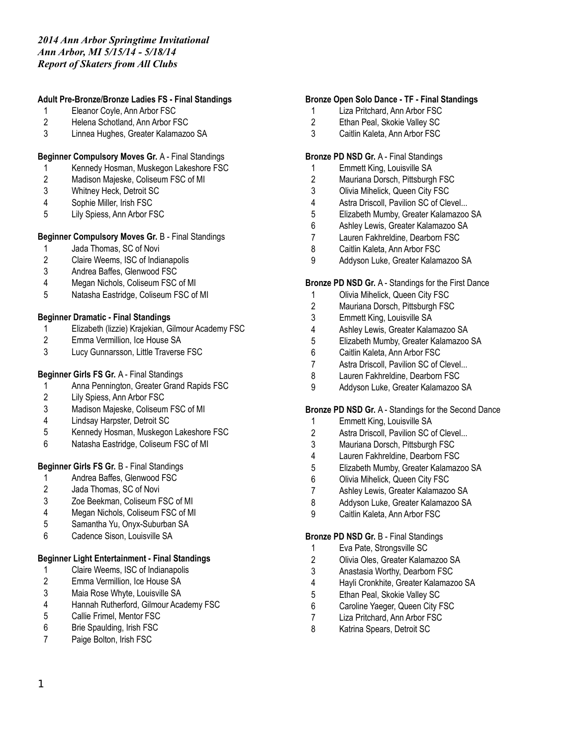### **Adult Pre-Bronze/Bronze Ladies FS - Final Standings**

- Eleanor Coyle, Ann Arbor FSC
- Helena Schotland, Ann Arbor FSC
- Linnea Hughes, Greater Kalamazoo SA

### **Beginner Compulsory Moves Gr.** A - Final Standings

- Kennedy Hosman, Muskegon Lakeshore FSC
- Madison Majeske, Coliseum FSC of MI
- Whitney Heck, Detroit SC
- Sophie Miller, Irish FSC
- Lily Spiess, Ann Arbor FSC

#### **Beginner Compulsory Moves Gr.** B - Final Standings

- Jada Thomas, SC of Novi
- Claire Weems, ISC of Indianapolis
- Andrea Baffes, Glenwood FSC
- Megan Nichols, Coliseum FSC of MI
- Natasha Eastridge, Coliseum FSC of MI

#### **Beginner Dramatic - Final Standings**

- Elizabeth (lizzie) Krajekian, Gilmour Academy FSC
- Emma Vermillion, Ice House SA
- Lucy Gunnarsson, Little Traverse FSC

### **Beginner Girls FS Gr.** A - Final Standings

- Anna Pennington, Greater Grand Rapids FSC
- Lily Spiess, Ann Arbor FSC
- Madison Majeske, Coliseum FSC of MI
- Lindsay Harpster, Detroit SC
- Kennedy Hosman, Muskegon Lakeshore FSC
- Natasha Eastridge, Coliseum FSC of MI

#### **Beginner Girls FS Gr.** B - Final Standings

- Andrea Baffes, Glenwood FSC
- Jada Thomas, SC of Novi
- Zoe Beekman, Coliseum FSC of MI
- Megan Nichols, Coliseum FSC of MI
- Samantha Yu, Onyx-Suburban SA
- Cadence Sison, Louisville SA

#### **Beginner Light Entertainment - Final Standings**

- Claire Weems, ISC of Indianapolis
- Emma Vermillion, Ice House SA
- Maia Rose Whyte, Louisville SA
- Hannah Rutherford, Gilmour Academy FSC
- Callie Frimel, Mentor FSC
- Brie Spaulding, Irish FSC
- Paige Bolton, Irish FSC

#### **Bronze Open Solo Dance - TF - Final Standings**

- Liza Pritchard, Ann Arbor FSC
- Ethan Peal, Skokie Valley SC
- Caitlin Kaleta, Ann Arbor FSC

#### **Bronze PD NSD Gr.** A - Final Standings

- Emmett King, Louisville SA
- Mauriana Dorsch, Pittsburgh FSC
- Olivia Mihelick, Queen City FSC
- Astra Driscoll, Pavilion SC of Clevel...
- Elizabeth Mumby, Greater Kalamazoo SA
- Ashley Lewis, Greater Kalamazoo SA
- Lauren Fakhreldine, Dearborn FSC
- Caitlin Kaleta, Ann Arbor FSC
- Addyson Luke, Greater Kalamazoo SA

#### **Bronze PD NSD Gr.** A - Standings for the First Dance

- Olivia Mihelick, Queen City FSC
- Mauriana Dorsch, Pittsburgh FSC
- Emmett King, Louisville SA
- Ashley Lewis, Greater Kalamazoo SA
- Elizabeth Mumby, Greater Kalamazoo SA
- Caitlin Kaleta, Ann Arbor FSC
- Astra Driscoll, Pavilion SC of Clevel...
- Lauren Fakhreldine, Dearborn FSC
- Addyson Luke, Greater Kalamazoo SA

#### **Bronze PD NSD Gr.** A - Standings for the Second Dance

- Emmett King, Louisville SA
- Astra Driscoll, Pavilion SC of Clevel...
- Mauriana Dorsch, Pittsburgh FSC
- Lauren Fakhreldine, Dearborn FSC
- Elizabeth Mumby, Greater Kalamazoo SA
- Olivia Mihelick, Queen City FSC
- Ashley Lewis, Greater Kalamazoo SA
- Addyson Luke, Greater Kalamazoo SA
- Caitlin Kaleta, Ann Arbor FSC

### **Bronze PD NSD Gr.** B - Final Standings

- Eva Pate, Strongsville SC
- Olivia Oles, Greater Kalamazoo SA
- Anastasia Worthy, Dearborn FSC
- Hayli Cronkhite, Greater Kalamazoo SA
- Ethan Peal, Skokie Valley SC
- Caroline Yaeger, Queen City FSC
- Liza Pritchard, Ann Arbor FSC
- Katrina Spears, Detroit SC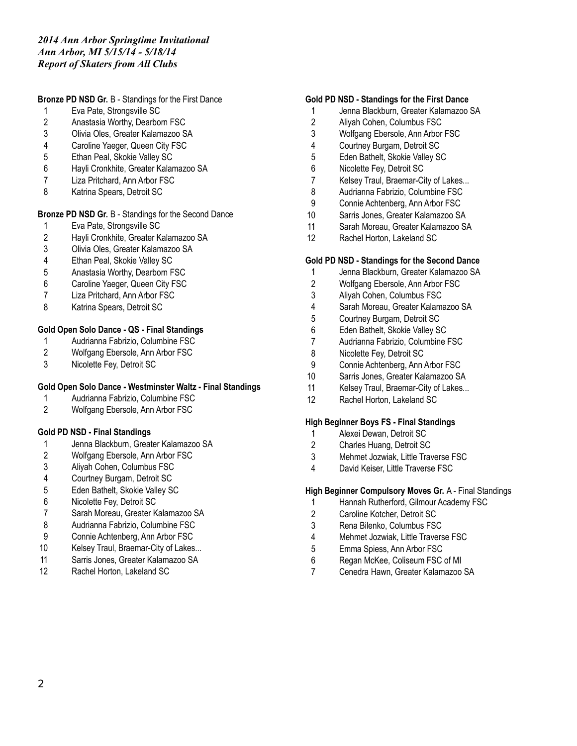**Bronze PD NSD Gr.** B - Standings for the First Dance

- Eva Pate, Strongsville SC
- Anastasia Worthy, Dearborn FSC
- Olivia Oles, Greater Kalamazoo SA
- Caroline Yaeger, Queen City FSC
- Ethan Peal, Skokie Valley SC
- Hayli Cronkhite, Greater Kalamazoo SA
- Liza Pritchard, Ann Arbor FSC
- Katrina Spears, Detroit SC

### **Bronze PD NSD Gr.** B - Standings for the Second Dance

- Eva Pate, Strongsville SC
- 2 Hayli Cronkhite, Greater Kalamazoo SA<br>3 Olivia Oles. Greater Kalamazoo SA
- Olivia Oles, Greater Kalamazoo SA
- Ethan Peal, Skokie Valley SC
- Anastasia Worthy, Dearborn FSC
- 6 Caroline Yaeger, Queen City FSC<br>7 Liza Pritchard. Ann Arbor FSC
- Liza Pritchard, Ann Arbor FSC
- Katrina Spears, Detroit SC

### **Gold Open Solo Dance - QS - Final Standings**

- Audrianna Fabrizio, Columbine FSC
- Wolfgang Ebersole, Ann Arbor FSC
- Nicolette Fey, Detroit SC

#### **Gold Open Solo Dance - Westminster Waltz - Final Standings**

- Audrianna Fabrizio, Columbine FSC
- Wolfgang Ebersole, Ann Arbor FSC

#### **Gold PD NSD - Final Standings**

- Jenna Blackburn, Greater Kalamazoo SA
- Wolfgang Ebersole, Ann Arbor FSC
- Aliyah Cohen, Columbus FSC
- Courtney Burgam, Detroit SC
- Eden Bathelt, Skokie Valley SC
- Nicolette Fey, Detroit SC
- Sarah Moreau, Greater Kalamazoo SA
- Audrianna Fabrizio, Columbine FSC
- Connie Achtenberg, Ann Arbor FSC
- Kelsey Traul, Braemar-City of Lakes...
- Sarris Jones, Greater Kalamazoo SA
- Rachel Horton, Lakeland SC

#### **Gold PD NSD - Standings for the First Dance**

- Jenna Blackburn, Greater Kalamazoo SA
- Aliyah Cohen, Columbus FSC
- Wolfgang Ebersole, Ann Arbor FSC
- Courtney Burgam, Detroit SC
- Eden Bathelt, Skokie Valley SC
- Nicolette Fey, Detroit SC
- Kelsey Traul, Braemar-City of Lakes...
- Audrianna Fabrizio, Columbine FSC
- Connie Achtenberg, Ann Arbor FSC
- Sarris Jones, Greater Kalamazoo SA
- Sarah Moreau, Greater Kalamazoo SA
- Rachel Horton, Lakeland SC

#### **Gold PD NSD - Standings for the Second Dance**

- Jenna Blackburn, Greater Kalamazoo SA
- Wolfgang Ebersole, Ann Arbor FSC
- Aliyah Cohen, Columbus FSC
- Sarah Moreau, Greater Kalamazoo SA
- Courtney Burgam, Detroit SC
- Eden Bathelt, Skokie Valley SC
- Audrianna Fabrizio, Columbine FSC
- Nicolette Fey, Detroit SC
- Connie Achtenberg, Ann Arbor FSC
- Sarris Jones, Greater Kalamazoo SA
- Kelsey Traul, Braemar-City of Lakes...
- Rachel Horton, Lakeland SC

#### **High Beginner Boys FS - Final Standings**

- Alexei Dewan, Detroit SC
- Charles Huang, Detroit SC
- Mehmet Jozwiak, Little Traverse FSC
- David Keiser, Little Traverse FSC

#### **High Beginner Compulsory Moves Gr.** A - Final Standings

- Hannah Rutherford, Gilmour Academy FSC
- Caroline Kotcher, Detroit SC
- Rena Bilenko, Columbus FSC
- Mehmet Jozwiak, Little Traverse FSC
- Emma Spiess, Ann Arbor FSC
- Regan McKee, Coliseum FSC of MI
- Cenedra Hawn, Greater Kalamazoo SA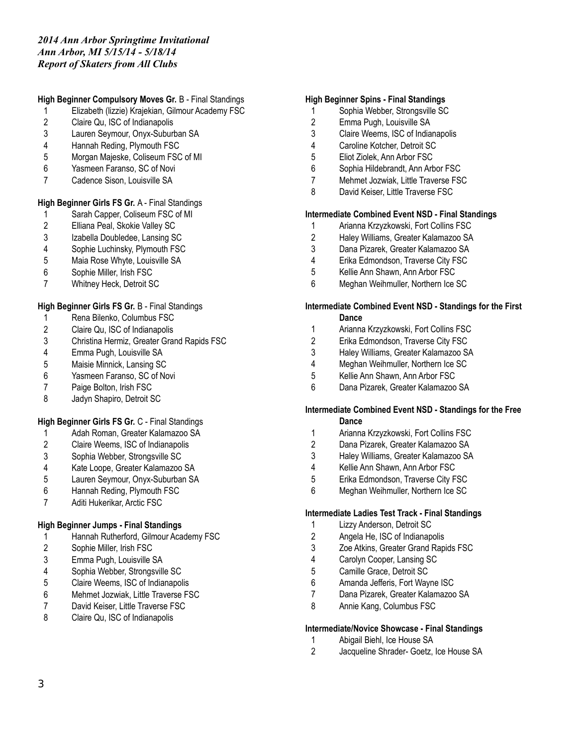# **High Beginner Compulsory Moves Gr.** B - Final Standings

- Elizabeth (lizzie) Krajekian, Gilmour Academy FSC
- Claire Qu, ISC of Indianapolis
- Lauren Seymour, Onyx-Suburban SA
- Hannah Reding, Plymouth FSC
- Morgan Majeske, Coliseum FSC of MI
- Yasmeen Faranso, SC of Novi
- Cadence Sison, Louisville SA

# **High Beginner Girls FS Gr.** A - Final Standings

- Sarah Capper, Coliseum FSC of MI
- Elliana Peal, Skokie Valley SC
- Izabella Doubledee, Lansing SC
- Sophie Luchinsky, Plymouth FSC
- Maia Rose Whyte, Louisville SA
- Sophie Miller, Irish FSC
- Whitney Heck, Detroit SC

## **High Beginner Girls FS Gr.** B - Final Standings

- Rena Bilenko, Columbus FSC
- Claire Qu, ISC of Indianapolis
- Christina Hermiz, Greater Grand Rapids FSC
- Emma Pugh, Louisville SA
- Maisie Minnick, Lansing SC
- Yasmeen Faranso, SC of Novi
- Paige Bolton, Irish FSC
- Jadyn Shapiro, Detroit SC

## **High Beginner Girls FS Gr.** C - Final Standings

- Adah Roman, Greater Kalamazoo SA
- Claire Weems, ISC of Indianapolis
- Sophia Webber, Strongsville SC
- Kate Loope, Greater Kalamazoo SA
- Lauren Seymour, Onyx-Suburban SA
- Hannah Reding, Plymouth FSC
- Aditi Hukerikar, Arctic FSC

## **High Beginner Jumps - Final Standings**

- Hannah Rutherford, Gilmour Academy FSC
- Sophie Miller, Irish FSC
- Emma Pugh, Louisville SA
- Sophia Webber, Strongsville SC
- Claire Weems, ISC of Indianapolis
- Mehmet Jozwiak, Little Traverse FSC
- David Keiser, Little Traverse FSC
- Claire Qu, ISC of Indianapolis

#### **High Beginner Spins - Final Standings**

- Sophia Webber, Strongsville SC
- Emma Pugh, Louisville SA
- Claire Weems, ISC of Indianapolis
- Caroline Kotcher, Detroit SC
- Eliot Ziolek, Ann Arbor FSC
- Sophia Hildebrandt, Ann Arbor FSC
- Mehmet Jozwiak, Little Traverse FSC
- 8 David Keiser, Little Traverse FSC

### **Intermediate Combined Event NSD - Final Standings**

- Arianna Krzyzkowski, Fort Collins FSC
- Haley Williams, Greater Kalamazoo SA
- Dana Pizarek, Greater Kalamazoo SA
- Erika Edmondson, Traverse City FSC
- Kellie Ann Shawn, Ann Arbor FSC
- Meghan Weihmuller, Northern Ice SC

#### **Intermediate Combined Event NSD - Standings for the First Dance**

- Arianna Krzyzkowski, Fort Collins FSC
- Erika Edmondson, Traverse City FSC
- Haley Williams, Greater Kalamazoo SA
- Meghan Weihmuller, Northern Ice SC
- Kellie Ann Shawn, Ann Arbor FSC
- Dana Pizarek, Greater Kalamazoo SA

#### **Intermediate Combined Event NSD - Standings for the Free Dance**

- Arianna Krzyzkowski, Fort Collins FSC
- Dana Pizarek, Greater Kalamazoo SA
- Haley Williams, Greater Kalamazoo SA
- Kellie Ann Shawn, Ann Arbor FSC
- Erika Edmondson, Traverse City FSC
- Meghan Weihmuller, Northern Ice SC

#### **Intermediate Ladies Test Track - Final Standings**

- Lizzy Anderson, Detroit SC
- Angela He, ISC of Indianapolis
- Zoe Atkins, Greater Grand Rapids FSC
- Carolyn Cooper, Lansing SC
- Camille Grace, Detroit SC
- Amanda Jefferis, Fort Wayne ISC
- Dana Pizarek, Greater Kalamazoo SA
- Annie Kang, Columbus FSC

#### **Intermediate/Novice Showcase - Final Standings**

- Abigail Biehl, Ice House SA
- Jacqueline Shrader- Goetz, Ice House SA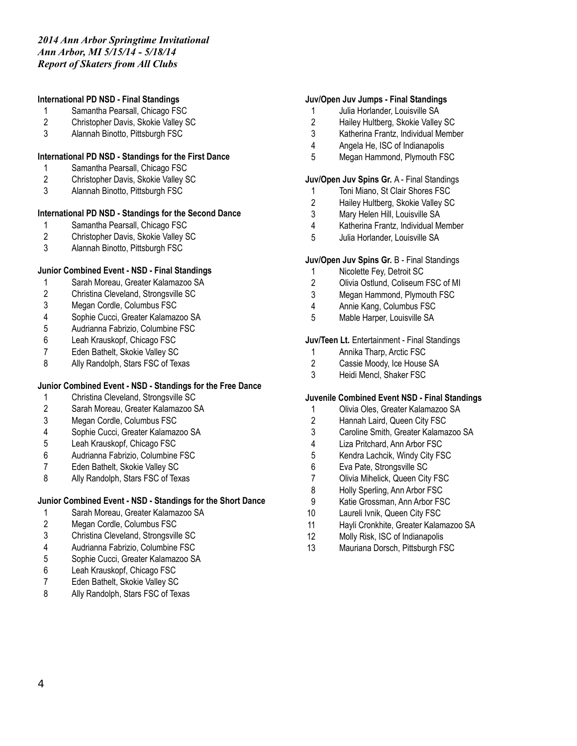### **International PD NSD - Final Standings**

- Samantha Pearsall, Chicago FSC
- Christopher Davis, Skokie Valley SC
- Alannah Binotto, Pittsburgh FSC

### **International PD NSD - Standings for the First Dance**

- Samantha Pearsall, Chicago FSC
- Christopher Davis, Skokie Valley SC
- Alannah Binotto, Pittsburgh FSC

#### **International PD NSD - Standings for the Second Dance**

- Samantha Pearsall, Chicago FSC
- Christopher Davis, Skokie Valley SC
- Alannah Binotto, Pittsburgh FSC

### **Junior Combined Event - NSD - Final Standings**

- Sarah Moreau, Greater Kalamazoo SA
- Christina Cleveland, Strongsville SC
- Megan Cordle, Columbus FSC
- Sophie Cucci, Greater Kalamazoo SA
- Audrianna Fabrizio, Columbine FSC
- Leah Krauskopf, Chicago FSC
- Eden Bathelt, Skokie Valley SC
- Ally Randolph, Stars FSC of Texas

### **Junior Combined Event - NSD - Standings for the Free Dance**

- Christina Cleveland, Strongsville SC
- Sarah Moreau, Greater Kalamazoo SA
- Megan Cordle, Columbus FSC
- Sophie Cucci, Greater Kalamazoo SA
- Leah Krauskopf, Chicago FSC
- Audrianna Fabrizio, Columbine FSC
- Eden Bathelt, Skokie Valley SC
- Ally Randolph, Stars FSC of Texas

#### **Junior Combined Event - NSD - Standings for the Short Dance**

- Sarah Moreau, Greater Kalamazoo SA
- Megan Cordle, Columbus FSC
- Christina Cleveland, Strongsville SC
- Audrianna Fabrizio, Columbine FSC
- Sophie Cucci, Greater Kalamazoo SA
- Leah Krauskopf, Chicago FSC
- Eden Bathelt, Skokie Valley SC
- Ally Randolph, Stars FSC of Texas

#### **Juv/Open Juv Jumps - Final Standings**

- Julia Horlander, Louisville SA
- Hailey Hultberg, Skokie Valley SC
- Katherina Frantz, Individual Member
- Angela He, ISC of Indianapolis
- Megan Hammond, Plymouth FSC

#### **Juv/Open Juv Spins Gr.** A - Final Standings

- Toni Miano, St Clair Shores FSC
- Hailey Hultberg, Skokie Valley SC
- Mary Helen Hill, Louisville SA
- Katherina Frantz, Individual Member
- Julia Horlander, Louisville SA

#### **Juv/Open Juv Spins Gr.** B - Final Standings

- Nicolette Fey, Detroit SC
- Olivia Ostlund, Coliseum FSC of MI
- Megan Hammond, Plymouth FSC
- Annie Kang, Columbus FSC
- Mable Harper, Louisville SA

#### **Juv/Teen Lt.** Entertainment - Final Standings

- 1 Annika Tharp, Arctic FSC<br>2 Cassie Moody, Ice House
- Cassie Moody, Ice House SA
- Heidi Mencl, Shaker FSC

#### **Juvenile Combined Event NSD - Final Standings**

- Olivia Oles, Greater Kalamazoo SA
- Hannah Laird, Queen City FSC
- Caroline Smith, Greater Kalamazoo SA
- Liza Pritchard, Ann Arbor FSC
- Kendra Lachcik, Windy City FSC
- Eva Pate, Strongsville SC
- Olivia Mihelick, Queen City FSC
- Holly Sperling, Ann Arbor FSC
- Katie Grossman, Ann Arbor FSC
- Laureli Ivnik, Queen City FSC
- Hayli Cronkhite, Greater Kalamazoo SA
- Molly Risk, ISC of Indianapolis
- Mauriana Dorsch, Pittsburgh FSC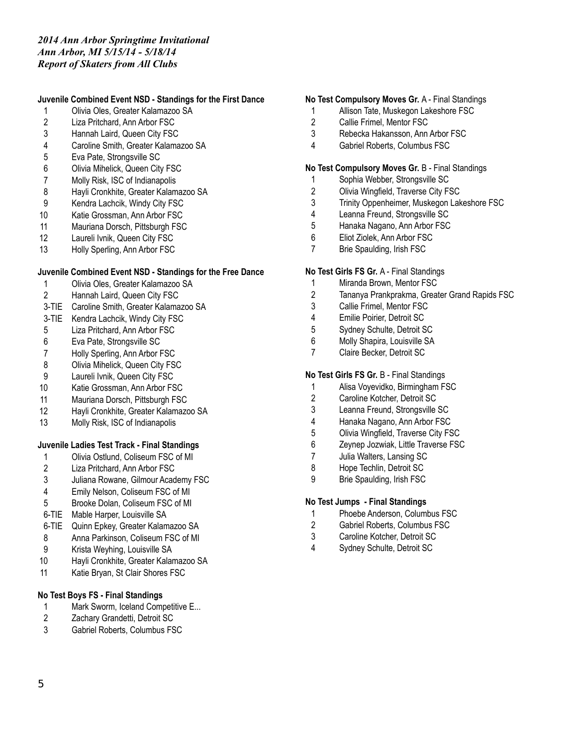#### **Juvenile Combined Event NSD - Standings for the First Dance**

- Olivia Oles, Greater Kalamazoo SA
- Liza Pritchard, Ann Arbor FSC
- Hannah Laird, Queen City FSC
- Caroline Smith, Greater Kalamazoo SA
- Eva Pate, Strongsville SC
- Olivia Mihelick, Queen City FSC
- Molly Risk, ISC of Indianapolis
- Hayli Cronkhite, Greater Kalamazoo SA
- Kendra Lachcik, Windy City FSC
- Katie Grossman, Ann Arbor FSC
- Mauriana Dorsch, Pittsburgh FSC
- Laureli Ivnik, Queen City FSC
- 13 Holly Sperling, Ann Arbor FSC

### **Juvenile Combined Event NSD - Standings for the Free Dance**

- Olivia Oles, Greater Kalamazoo SA
- Hannah Laird, Queen City FSC
- 3-TIE Caroline Smith, Greater Kalamazoo SA
- 3-TIE Kendra Lachcik, Windy City FSC
- Liza Pritchard, Ann Arbor FSC
- Eva Pate, Strongsville SC
- Holly Sperling, Ann Arbor FSC
- 8 Olivia Mihelick, Queen City FSC
- 9 Laureli Ivnik, Queen City FSC
- Katie Grossman, Ann Arbor FSC
- Mauriana Dorsch, Pittsburgh FSC
- Hayli Cronkhite, Greater Kalamazoo SA
- Molly Risk, ISC of Indianapolis

## **Juvenile Ladies Test Track - Final Standings**

- Olivia Ostlund, Coliseum FSC of MI
- Liza Pritchard, Ann Arbor FSC
- Juliana Rowane, Gilmour Academy FSC
- Emily Nelson, Coliseum FSC of MI
- Brooke Dolan, Coliseum FSC of MI
- 6-TIE Mable Harper, Louisville SA
- 6-TIE Quinn Epkey, Greater Kalamazoo SA
- Anna Parkinson, Coliseum FSC of MI
- Krista Weyhing, Louisville SA
- Hayli Cronkhite, Greater Kalamazoo SA
- Katie Bryan, St Clair Shores FSC

## **No Test Boys FS - Final Standings**

- 1 Mark Sworm, Iceland Competitive E...
- Zachary Grandetti, Detroit SC
- Gabriel Roberts, Columbus FSC

### **No Test Compulsory Moves Gr.** A - Final Standings

- Allison Tate, Muskegon Lakeshore FSC
- Callie Frimel, Mentor FSC
- Rebecka Hakansson, Ann Arbor FSC
- Gabriel Roberts, Columbus FSC

#### **No Test Compulsory Moves Gr.** B - Final Standings

- Sophia Webber, Strongsville SC
- Olivia Wingfield, Traverse City FSC
- Trinity Oppenheimer, Muskegon Lakeshore FSC
- Leanna Freund, Strongsville SC
- Hanaka Nagano, Ann Arbor FSC
- Eliot Ziolek, Ann Arbor FSC
- Brie Spaulding, Irish FSC

### **No Test Girls FS Gr.** A - Final Standings

- Miranda Brown, Mentor FSC
- Tananya Prankprakma, Greater Grand Rapids FSC
- Callie Frimel, Mentor FSC
- Emilie Poirier, Detroit SC
- Sydney Schulte, Detroit SC
- Molly Shapira, Louisville SA
- Claire Becker, Detroit SC

#### **No Test Girls FS Gr.** B - Final Standings

- Alisa Voyevidko, Birmingham FSC
- Caroline Kotcher, Detroit SC
- Leanna Freund, Strongsville SC
- Hanaka Nagano, Ann Arbor FSC
- Olivia Wingfield, Traverse City FSC
- Zeynep Jozwiak, Little Traverse FSC
- Julia Walters, Lansing SC
- Hope Techlin, Detroit SC
- Brie Spaulding, Irish FSC

#### **No Test Jumps - Final Standings**

- Phoebe Anderson, Columbus FSC
- Gabriel Roberts, Columbus FSC
- Caroline Kotcher, Detroit SC
- Sydney Schulte, Detroit SC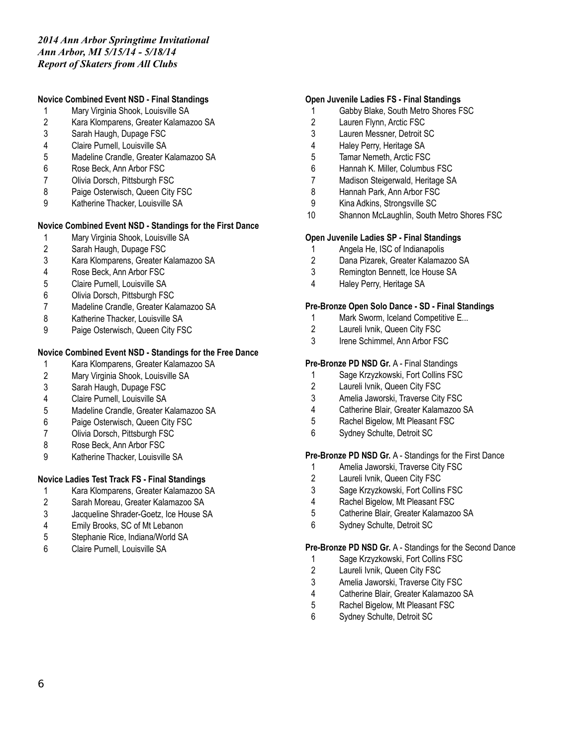# **Novice Combined Event NSD - Final Standings**

- Mary Virginia Shook, Louisville SA
- Kara Klomparens, Greater Kalamazoo SA
- Sarah Haugh, Dupage FSC
- Claire Purnell, Louisville SA
- Madeline Crandle, Greater Kalamazoo SA
- Rose Beck, Ann Arbor FSC
- Olivia Dorsch, Pittsburgh FSC
- 8 Paige Osterwisch, Queen City FSC
- Katherine Thacker, Louisville SA

#### **Novice Combined Event NSD - Standings for the First Dance**

- 1 Mary Virginia Shook, Louisville SA<br>2 Sarah Haugh, Dupage FSC
- Sarah Haugh, Dupage FSC
- Kara Klomparens, Greater Kalamazoo SA
- Rose Beck, Ann Arbor FSC
- Claire Purnell, Louisville SA
- Olivia Dorsch, Pittsburgh FSC
- Madeline Crandle, Greater Kalamazoo SA
- Katherine Thacker, Louisville SA
- Paige Osterwisch, Queen City FSC

# **Novice Combined Event NSD - Standings for the Free Dance**

- Kara Klomparens, Greater Kalamazoo SA
- Mary Virginia Shook, Louisville SA
- Sarah Haugh, Dupage FSC
- Claire Purnell, Louisville SA
- Madeline Crandle, Greater Kalamazoo SA
- Paige Osterwisch, Queen City FSC
- Olivia Dorsch, Pittsburgh FSC
- 8 Rose Beck, Ann Arbor FSC
- Katherine Thacker, Louisville SA

## **Novice Ladies Test Track FS - Final Standings**

- Kara Klomparens, Greater Kalamazoo SA
- Sarah Moreau, Greater Kalamazoo SA
- Jacqueline Shrader-Goetz, Ice House SA
- Emily Brooks, SC of Mt Lebanon
- Stephanie Rice, Indiana/World SA
- Claire Purnell, Louisville SA

#### **Open Juvenile Ladies FS - Final Standings**

- Gabby Blake, South Metro Shores FSC
- Lauren Flynn, Arctic FSC
- Lauren Messner, Detroit SC
- Haley Perry, Heritage SA
- Tamar Nemeth, Arctic FSC
- Hannah K. Miller, Columbus FSC
- Madison Steigerwald, Heritage SA
- Hannah Park, Ann Arbor FSC
- Kina Adkins, Strongsville SC
- Shannon McLaughlin, South Metro Shores FSC

#### **Open Juvenile Ladies SP - Final Standings**

- Angela He, ISC of Indianapolis
- Dana Pizarek, Greater Kalamazoo SA
- Remington Bennett, Ice House SA
- Haley Perry, Heritage SA

#### **Pre-Bronze Open Solo Dance - SD - Final Standings**

- 1 Mark Sworm, Iceland Competitive E...
- Laureli Ivnik, Queen City FSC
- Irene Schimmel, Ann Arbor FSC

#### **Pre-Bronze PD NSD Gr.** A - Final Standings

- Sage Krzyzkowski, Fort Collins FSC
- Laureli Ivnik, Queen City FSC
- Amelia Jaworski, Traverse City FSC
- Catherine Blair, Greater Kalamazoo SA
- Rachel Bigelow, Mt Pleasant FSC
- Sydney Schulte, Detroit SC

#### **Pre-Bronze PD NSD Gr.** A - Standings for the First Dance

- Amelia Jaworski, Traverse City FSC
- Laureli Ivnik, Queen City FSC
- Sage Krzyzkowski, Fort Collins FSC
- Rachel Bigelow, Mt Pleasant FSC
- Catherine Blair, Greater Kalamazoo SA
- Sydney Schulte, Detroit SC

#### **Pre-Bronze PD NSD Gr.** A - Standings for the Second Dance

- Sage Krzyzkowski, Fort Collins FSC
- Laureli Ivnik, Queen City FSC
- Amelia Jaworski, Traverse City FSC
- Catherine Blair, Greater Kalamazoo SA
- Rachel Bigelow, Mt Pleasant FSC
- Sydney Schulte, Detroit SC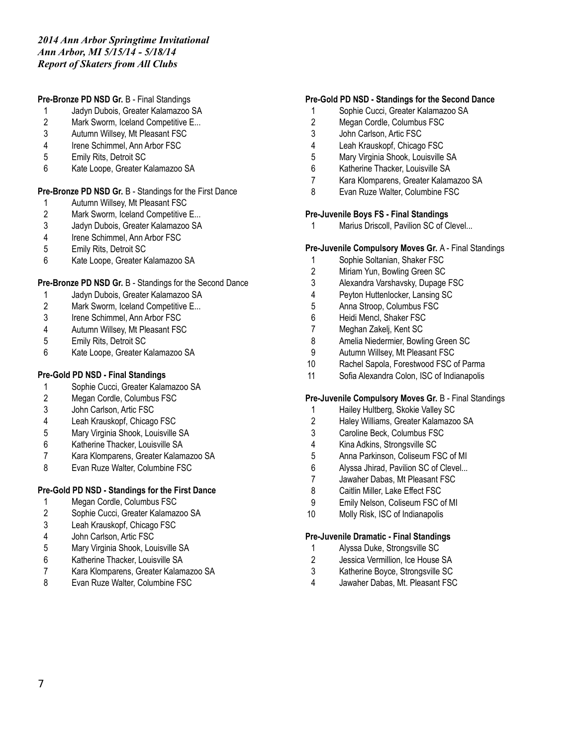#### **Pre-Bronze PD NSD Gr.** B - Final Standings

- Jadyn Dubois, Greater Kalamazoo SA
- Mark Sworm, Iceland Competitive E...
- Autumn Willsey, Mt Pleasant FSC
- Irene Schimmel, Ann Arbor FSC
- Emily Rits, Detroit SC
- Kate Loope, Greater Kalamazoo SA

### **Pre-Bronze PD NSD Gr.** B - Standings for the First Dance

- Autumn Willsey, Mt Pleasant FSC
- 2 Mark Sworm, Iceland Competitive E...
- Jadyn Dubois, Greater Kalamazoo SA
- Irene Schimmel, Ann Arbor FSC
- Emily Rits, Detroit SC
- Kate Loope, Greater Kalamazoo SA

### **Pre-Bronze PD NSD Gr.** B - Standings for the Second Dance

- 
- 1 Jadyn Dubois, Greater Kalamazoo SA<br>2 Mark Sworm, Iceland Competitive E... Mark Sworm, Iceland Competitive E...
- Irene Schimmel, Ann Arbor FSC
- Autumn Willsey, Mt Pleasant FSC
- Emily Rits, Detroit SC
- Kate Loope, Greater Kalamazoo SA

### **Pre-Gold PD NSD - Final Standings**

- Sophie Cucci, Greater Kalamazoo SA
- Megan Cordle, Columbus FSC
- John Carlson, Artic FSC
- Leah Krauskopf, Chicago FSC
- Mary Virginia Shook, Louisville SA
- Katherine Thacker, Louisville SA
- Kara Klomparens, Greater Kalamazoo SA
- Evan Ruze Walter, Columbine FSC

## **Pre-Gold PD NSD - Standings for the First Dance**

- Megan Cordle, Columbus FSC
- Sophie Cucci, Greater Kalamazoo SA
- Leah Krauskopf, Chicago FSC
- John Carlson, Artic FSC
- Mary Virginia Shook, Louisville SA
- Katherine Thacker, Louisville SA
- Kara Klomparens, Greater Kalamazoo SA
- Evan Ruze Walter, Columbine FSC

#### **Pre-Gold PD NSD - Standings for the Second Dance**

- Sophie Cucci, Greater Kalamazoo SA
- Megan Cordle, Columbus FSC
- John Carlson, Artic FSC
- Leah Krauskopf, Chicago FSC
- Mary Virginia Shook, Louisville SA
- Katherine Thacker, Louisville SA
- Kara Klomparens, Greater Kalamazoo SA
- Evan Ruze Walter, Columbine FSC

#### **Pre-Juvenile Boys FS - Final Standings**

1 Marius Driscoll, Pavilion SC of Clevel...

#### **Pre-Juvenile Compulsory Moves Gr.** A - Final Standings

- Sophie Soltanian, Shaker FSC
- Miriam Yun, Bowling Green SC
- Alexandra Varshavsky, Dupage FSC
- Peyton Huttenlocker, Lansing SC
- Anna Stroop, Columbus FSC
- Heidi Mencl, Shaker FSC
- Meghan Zakelj, Kent SC
- Amelia Niedermier, Bowling Green SC
- Autumn Willsey, Mt Pleasant FSC
- Rachel Sapola, Forestwood FSC of Parma
- Sofia Alexandra Colon, ISC of Indianapolis

#### **Pre-Juvenile Compulsory Moves Gr.** B - Final Standings

- Hailey Hultberg, Skokie Valley SC
- Haley Williams, Greater Kalamazoo SA
- Caroline Beck, Columbus FSC
- Kina Adkins, Strongsville SC
- Anna Parkinson, Coliseum FSC of MI
- Alyssa Jhirad, Pavilion SC of Clevel...
- Jawaher Dabas, Mt Pleasant FSC
- Caitlin Miller, Lake Effect FSC
- Emily Nelson, Coliseum FSC of MI
- Molly Risk, ISC of Indianapolis

#### **Pre-Juvenile Dramatic - Final Standings**

- Alyssa Duke, Strongsville SC
- Jessica Vermillion, Ice House SA
- Katherine Boyce, Strongsville SC
- Jawaher Dabas, Mt. Pleasant FSC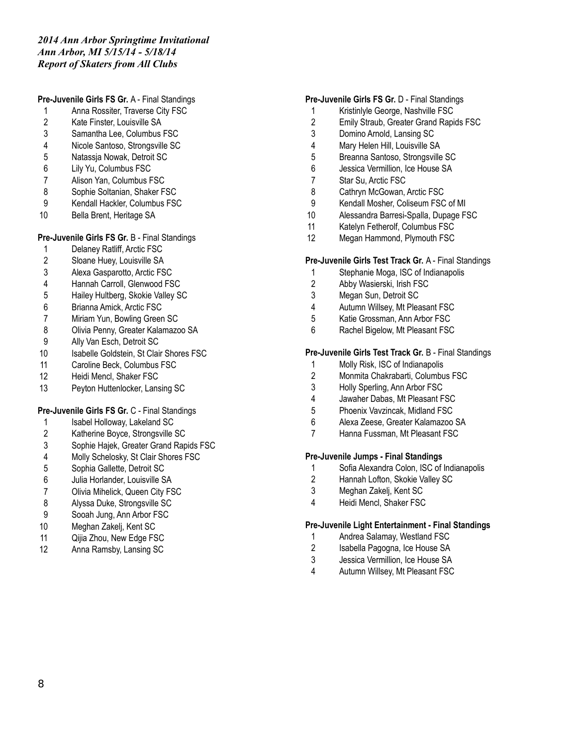**Pre-Juvenile Girls FS Gr.** A - Final Standings

- Anna Rossiter, Traverse City FSC
- Kate Finster, Louisville SA
- Samantha Lee, Columbus FSC
- Nicole Santoso, Strongsville SC
- Natassja Nowak, Detroit SC
- Lily Yu, Columbus FSC
- Alison Yan, Columbus FSC
- Sophie Soltanian, Shaker FSC
- Kendall Hackler, Columbus FSC
- Bella Brent, Heritage SA

#### **Pre-Juvenile Girls FS Gr.** B - Final Standings

- Delaney Ratliff, Arctic FSC
- Sloane Huey, Louisville SA
- Alexa Gasparotto, Arctic FSC
- 4 Hannah Carroll, Glenwood FSC<br>5 Hailey Hultberg, Skokie Valley S
- Hailey Hultberg, Skokie Valley SC
- Brianna Amick, Arctic FSC
- Miriam Yun, Bowling Green SC
- Olivia Penny, Greater Kalamazoo SA
- Ally Van Esch, Detroit SC
- 10 Isabelle Goldstein, St Clair Shores FSC
- Caroline Beck, Columbus FSC
- Heidi Mencl, Shaker FSC
- Peyton Huttenlocker, Lansing SC

#### **Pre-Juvenile Girls FS Gr.** C - Final Standings

- 1 Isabel Holloway, Lakeland SC
- Katherine Boyce, Strongsville SC
- Sophie Hajek, Greater Grand Rapids FSC
- Molly Schelosky, St Clair Shores FSC
- Sophia Gallette, Detroit SC
- Julia Horlander, Louisville SA
- Olivia Mihelick, Queen City FSC
- 
- 8 Alyssa Duke, Strongsville SC<br>9 Sooah Jung, Ann Arbor FSC Sooah Jung, Ann Arbor FSC
- Meghan Zakelj, Kent SC
- Qijia Zhou, New Edge FSC
- Anna Ramsby, Lansing SC

#### **Pre-Juvenile Girls FS Gr.** D - Final Standings

- Kristinlyle George, Nashville FSC
- Emily Straub, Greater Grand Rapids FSC
- Domino Arnold, Lansing SC
- Mary Helen Hill, Louisville SA
- Breanna Santoso, Strongsville SC
- Jessica Vermillion, Ice House SA
- Star Su, Arctic FSC
- 8 Cathryn McGowan, Arctic FSC
- Kendall Mosher, Coliseum FSC of MI
- Alessandra Barresi-Spalla, Dupage FSC
- Katelyn Fetherolf, Columbus FSC
- Megan Hammond, Plymouth FSC

#### **Pre-Juvenile Girls Test Track Gr.** A - Final Standings

- Stephanie Moga, ISC of Indianapolis
- Abby Wasierski, Irish FSC
- Megan Sun, Detroit SC
- Autumn Willsey, Mt Pleasant FSC
- Katie Grossman, Ann Arbor FSC
- Rachel Bigelow, Mt Pleasant FSC

#### **Pre-Juvenile Girls Test Track Gr.** B - Final Standings

- Molly Risk, ISC of Indianapolis
- Monmita Chakrabarti, Columbus FSC
- Holly Sperling, Ann Arbor FSC
- Jawaher Dabas, Mt Pleasant FSC
- Phoenix Vavzincak, Midland FSC
- Alexa Zeese, Greater Kalamazoo SA
- Hanna Fussman, Mt Pleasant FSC

#### **Pre-Juvenile Jumps - Final Standings**

- Sofia Alexandra Colon, ISC of Indianapolis
- Hannah Lofton, Skokie Valley SC
- Meghan Zakelj, Kent SC
- Heidi Mencl, Shaker FSC

#### **Pre-Juvenile Light Entertainment - Final Standings**

- Andrea Salamay, Westland FSC
- 2 Isabella Pagogna, Ice House SA
- Jessica Vermillion, Ice House SA
- Autumn Willsey, Mt Pleasant FSC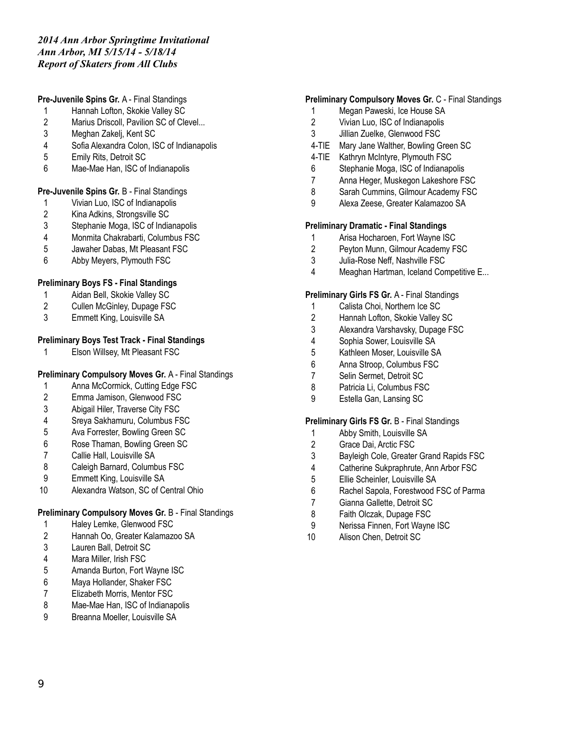## **Pre-Juvenile Spins Gr.** A - Final Standings

- Hannah Lofton, Skokie Valley SC
- 2 Marius Driscoll, Pavilion SC of Clevel...
- Meghan Zakelj, Kent SC
- Sofia Alexandra Colon, ISC of Indianapolis
- Emily Rits, Detroit SC
- Mae-Mae Han, ISC of Indianapolis

### **Pre-Juvenile Spins Gr.** B - Final Standings

- Vivian Luo, ISC of Indianapolis
- Kina Adkins, Strongsville SC
- Stephanie Moga, ISC of Indianapolis
- Monmita Chakrabarti, Columbus FSC
- Jawaher Dabas, Mt Pleasant FSC
- Abby Meyers, Plymouth FSC

# **Preliminary Boys FS - Final Standings**

- 1 Aidan Bell, Skokie Valley SC<br>2 Cullen McGinley, Dupage FS
- Cullen McGinley, Dupage FSC
- Emmett King, Louisville SA

# **Preliminary Boys Test Track - Final Standings**

Elson Willsey, Mt Pleasant FSC

# **Preliminary Compulsory Moves Gr.** A - Final Standings

- Anna McCormick, Cutting Edge FSC
- Emma Jamison, Glenwood FSC
- Abigail Hiler, Traverse City FSC
- Sreya Sakhamuru, Columbus FSC
- Ava Forrester, Bowling Green SC
- Rose Thaman, Bowling Green SC
- Callie Hall, Louisville SA
- Caleigh Barnard, Columbus FSC
- Emmett King, Louisville SA
- Alexandra Watson, SC of Central Ohio

# **Preliminary Compulsory Moves Gr.** B - Final Standings

- Haley Lemke, Glenwood FSC
- Hannah Oo, Greater Kalamazoo SA
- Lauren Ball, Detroit SC
- Mara Miller, Irish FSC
- Amanda Burton, Fort Wayne ISC
- Maya Hollander, Shaker FSC
- Elizabeth Morris, Mentor FSC
- 8 Mae-Mae Han, ISC of Indianapolis
- Breanna Moeller, Louisville SA

## **Preliminary Compulsory Moves Gr.** C - Final Standings

- Megan Paweski, Ice House SA
- Vivian Luo, ISC of Indianapolis
- Jillian Zuelke, Glenwood FSC
- 4-TIE Mary Jane Walther, Bowling Green SC
- 4-TIE Kathryn McIntyre, Plymouth FSC
- Stephanie Moga, ISC of Indianapolis
- Anna Heger, Muskegon Lakeshore FSC
- 8 Sarah Cummins, Gilmour Academy FSC
- Alexa Zeese, Greater Kalamazoo SA

### **Preliminary Dramatic - Final Standings**

- 1 Arisa Hocharoen, Fort Wayne ISC<br>2 Peyton Munn, Gilmour Academy F
- Peyton Munn, Gilmour Academy FSC
- Julia-Rose Neff, Nashville FSC
- Meaghan Hartman, Iceland Competitive E...

#### **Preliminary Girls FS Gr.** A - Final Standings

- Calista Choi, Northern Ice SC
- Hannah Lofton, Skokie Valley SC
- Alexandra Varshavsky, Dupage FSC
- Sophia Sower, Louisville SA
- Kathleen Moser, Louisville SA
- Anna Stroop, Columbus FSC
- Selin Sermet, Detroit SC
- Patricia Li, Columbus FSC
- Estella Gan, Lansing SC

#### **Preliminary Girls FS Gr.** B - Final Standings

- Abby Smith, Louisville SA
- Grace Dai, Arctic FSC
- Bayleigh Cole, Greater Grand Rapids FSC
- Catherine Sukpraphrute, Ann Arbor FSC
- Ellie Scheinler, Louisville SA
- Rachel Sapola, Forestwood FSC of Parma
- Gianna Gallette, Detroit SC
- Faith Olczak, Dupage FSC
- Nerissa Finnen, Fort Wayne ISC
- Alison Chen, Detroit SC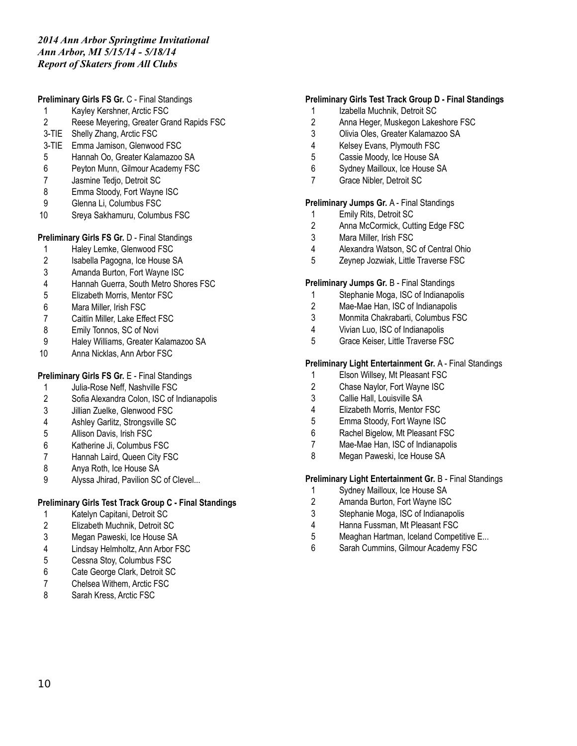### **Preliminary Girls FS Gr.** C - Final Standings

- Kayley Kershner, Arctic FSC
- Reese Meyering, Greater Grand Rapids FSC
- 3-TIE Shelly Zhang, Arctic FSC
- 3-TIE Emma Jamison, Glenwood FSC
- Hannah Oo, Greater Kalamazoo SA
- Peyton Munn, Gilmour Academy FSC
- Jasmine Tedjo, Detroit SC
- 8 Emma Stoody, Fort Wayne ISC
- Glenna Li, Columbus FSC
- Sreya Sakhamuru, Columbus FSC

## **Preliminary Girls FS Gr.** D - Final Standings

- Haley Lemke, Glenwood FSC
- 2 Isabella Pagogna, Ice House SA
- Amanda Burton, Fort Wayne ISC
- 4 Hannah Guerra, South Metro Shores FSC<br>5 Elizabeth Morris. Mentor FSC
- Elizabeth Morris, Mentor FSC
- Mara Miller, Irish FSC
- Caitlin Miller, Lake Effect FSC
- 8 Emily Tonnos, SC of Novi
- Haley Williams, Greater Kalamazoo SA
- Anna Nicklas, Ann Arbor FSC

## **Preliminary Girls FS Gr.** E - Final Standings

- Julia-Rose Neff, Nashville FSC
- Sofia Alexandra Colon, ISC of Indianapolis
- Jillian Zuelke, Glenwood FSC
- Ashley Garlitz, Strongsville SC
- Allison Davis, Irish FSC
- Katherine Ji, Columbus FSC
- Hannah Laird, Queen City FSC
- Anya Roth, Ice House SA
- Alyssa Jhirad, Pavilion SC of Clevel...

# **Preliminary Girls Test Track Group C - Final Standings**

- Katelyn Capitani, Detroit SC
- Elizabeth Muchnik, Detroit SC
- Megan Paweski, Ice House SA
- Lindsay Helmholtz, Ann Arbor FSC
- Cessna Stoy, Columbus FSC
- Cate George Clark, Detroit SC
- Chelsea Withem, Arctic FSC
- Sarah Kress, Arctic FSC

### **Preliminary Girls Test Track Group D - Final Standings**

- 1 Izabella Muchnik, Detroit SC
- Anna Heger, Muskegon Lakeshore FSC
- Olivia Oles, Greater Kalamazoo SA
- Kelsey Evans, Plymouth FSC
- Cassie Moody, Ice House SA
- Sydney Mailloux, Ice House SA
- Grace Nibler, Detroit SC

#### **Preliminary Jumps Gr.** A - Final Standings

- Emily Rits, Detroit SC
- Anna McCormick, Cutting Edge FSC
- Mara Miller, Irish FSC
- Alexandra Watson, SC of Central Ohio
- Zeynep Jozwiak, Little Traverse FSC

### **Preliminary Jumps Gr.** B - Final Standings

- Stephanie Moga, ISC of Indianapolis
- Mae-Mae Han, ISC of Indianapolis
- Monmita Chakrabarti, Columbus FSC
- Vivian Luo, ISC of Indianapolis
- Grace Keiser, Little Traverse FSC

#### **Preliminary Light Entertainment Gr.** A - Final Standings

- Elson Willsey, Mt Pleasant FSC
- Chase Naylor, Fort Wayne ISC
- Callie Hall, Louisville SA
- Elizabeth Morris, Mentor FSC
- Emma Stoody, Fort Wayne ISC
- Rachel Bigelow, Mt Pleasant FSC
- Mae-Mae Han, ISC of Indianapolis
- 8 Megan Paweski, Ice House SA

#### **Preliminary Light Entertainment Gr.** B - Final Standings

- Sydney Mailloux, Ice House SA
- Amanda Burton, Fort Wayne ISC
- Stephanie Moga, ISC of Indianapolis
- Hanna Fussman, Mt Pleasant FSC
- Meaghan Hartman, Iceland Competitive E...
- Sarah Cummins, Gilmour Academy FSC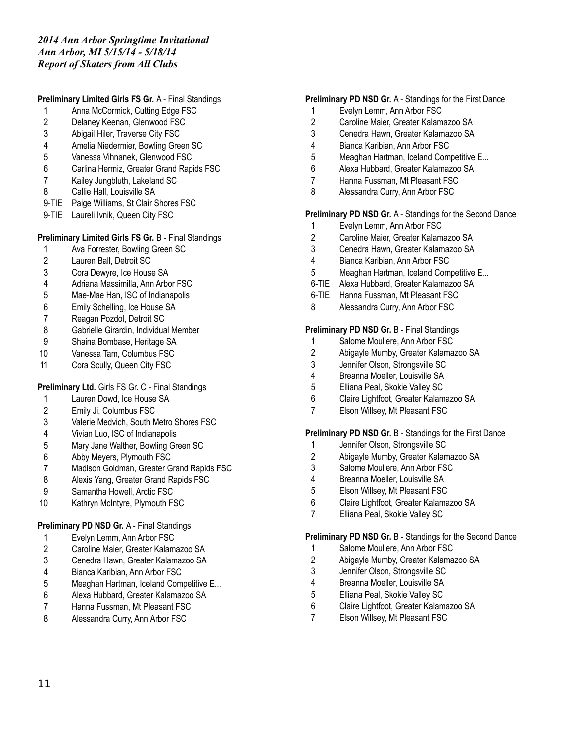# **Preliminary Limited Girls FS Gr.** A - Final Standings

- 1 Anna McCormick, Cutting Edge FSC
- Delaney Keenan, Glenwood FSC
- Abigail Hiler, Traverse City FSC
- Amelia Niedermier, Bowling Green SC
- Vanessa Vihnanek, Glenwood FSC
- Carlina Hermiz, Greater Grand Rapids FSC
- Kailey Jungbluth, Lakeland SC
- 8 Callie Hall, Louisville SA
- 9-TIE Paige Williams, St Clair Shores FSC
- 9-TIE Laureli Ivnik, Queen City FSC

### **Preliminary Limited Girls FS Gr.** B - Final Standings

- Ava Forrester, Bowling Green SC
- Lauren Ball, Detroit SC
- Cora Dewyre, Ice House SA
- Adriana Massimilla, Ann Arbor FSC
- Mae-Mae Han, ISC of Indianapolis
- Emily Schelling, Ice House SA
- Reagan Pozdol, Detroit SC
- Gabrielle Girardin, Individual Member
- Shaina Bombase, Heritage SA
- Vanessa Tam, Columbus FSC
- 11 Cora Scully, Queen City FSC

## **Preliminary Ltd.** Girls FS Gr. C - Final Standings

- Lauren Dowd, Ice House SA
- Emily Ji, Columbus FSC
- Valerie Medvich, South Metro Shores FSC
- Vivian Luo, ISC of Indianapolis
- Mary Jane Walther, Bowling Green SC
- Abby Meyers, Plymouth FSC
- Madison Goldman, Greater Grand Rapids FSC
- Alexis Yang, Greater Grand Rapids FSC
- Samantha Howell, Arctic FSC
- Kathryn McIntyre, Plymouth FSC

## **Preliminary PD NSD Gr.** A - Final Standings

- Evelyn Lemm, Ann Arbor FSC
- Caroline Maier, Greater Kalamazoo SA
- Cenedra Hawn, Greater Kalamazoo SA
- Bianca Karibian, Ann Arbor FSC
- Meaghan Hartman, Iceland Competitive E...
- Alexa Hubbard, Greater Kalamazoo SA
- Hanna Fussman, Mt Pleasant FSC
- Alessandra Curry, Ann Arbor FSC

#### **Preliminary PD NSD Gr.** A - Standings for the First Dance

- Evelyn Lemm, Ann Arbor FSC
- Caroline Maier, Greater Kalamazoo SA
- Cenedra Hawn, Greater Kalamazoo SA
- Bianca Karibian, Ann Arbor FSC
- Meaghan Hartman, Iceland Competitive E...
- Alexa Hubbard, Greater Kalamazoo SA
- Hanna Fussman, Mt Pleasant FSC
- Alessandra Curry, Ann Arbor FSC

#### **Preliminary PD NSD Gr.** A - Standings for the Second Dance

- Evelyn Lemm, Ann Arbor FSC
- 2 Caroline Maier, Greater Kalamazoo SA<br>3 Cenedra Hawn. Greater Kalamazoo SA
- Cenedra Hawn, Greater Kalamazoo SA
- Bianca Karibian, Ann Arbor FSC
- Meaghan Hartman, Iceland Competitive E...
- 6-TIE Alexa Hubbard, Greater Kalamazoo SA
- 6-TIE Hanna Fussman, Mt Pleasant FSC
- Alessandra Curry, Ann Arbor FSC

### **Preliminary PD NSD Gr.** B - Final Standings

- Salome Mouliere, Ann Arbor FSC
- Abigayle Mumby, Greater Kalamazoo SA
- Jennifer Olson, Strongsville SC
- Breanna Moeller, Louisville SA
- Elliana Peal, Skokie Valley SC
- Claire Lightfoot, Greater Kalamazoo SA
- Elson Willsey, Mt Pleasant FSC

#### **Preliminary PD NSD Gr.** B - Standings for the First Dance

- Jennifer Olson, Strongsville SC
- Abigayle Mumby, Greater Kalamazoo SA
- Salome Mouliere, Ann Arbor FSC
- Breanna Moeller, Louisville SA
- Elson Willsey, Mt Pleasant FSC
- Claire Lightfoot, Greater Kalamazoo SA
- Elliana Peal, Skokie Valley SC

#### **Preliminary PD NSD Gr.** B - Standings for the Second Dance

- 1 Salome Mouliere, Ann Arbor FSC<br>2 Abigavle Mumby, Greater Kalama
- Abigayle Mumby, Greater Kalamazoo SA
- Jennifer Olson, Strongsville SC
- Breanna Moeller, Louisville SA
- Elliana Peal, Skokie Valley SC
- Claire Lightfoot, Greater Kalamazoo SA
- Elson Willsey, Mt Pleasant FSC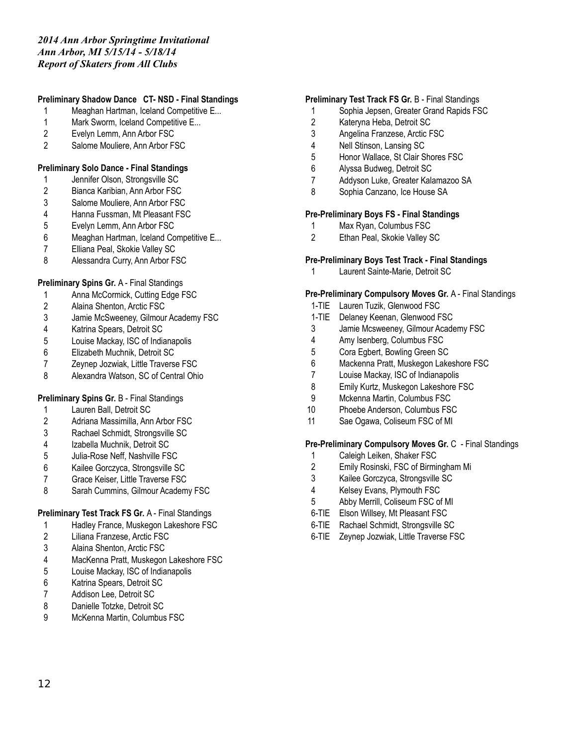# **Preliminary Shadow Dance CT- NSD - Final Standings**

- Meaghan Hartman, Iceland Competitive E...
- 1 Mark Sworm, Iceland Competitive E...
- Evelyn Lemm, Ann Arbor FSC
- Salome Mouliere, Ann Arbor FSC

## **Preliminary Solo Dance - Final Standings**

- Jennifer Olson, Strongsville SC
- Bianca Karibian, Ann Arbor FSC
- Salome Mouliere, Ann Arbor FSC
- Hanna Fussman, Mt Pleasant FSC
- Evelyn Lemm, Ann Arbor FSC
- Meaghan Hartman, Iceland Competitive E...
- Elliana Peal, Skokie Valley SC
- Alessandra Curry, Ann Arbor FSC

# **Preliminary Spins Gr.** A - Final Standings

- 1 Anna McCormick, Cutting Edge FSC<br>2 Alaina Shenton, Arctic FSC
- Alaina Shenton, Arctic FSC
- Jamie McSweeney, Gilmour Academy FSC
- Katrina Spears, Detroit SC
- Louise Mackay, ISC of Indianapolis
- Elizabeth Muchnik, Detroit SC
- Zeynep Jozwiak, Little Traverse FSC
- Alexandra Watson, SC of Central Ohio

## **Preliminary Spins Gr.** B - Final Standings

- Lauren Ball, Detroit SC
- Adriana Massimilla, Ann Arbor FSC
- Rachael Schmidt, Strongsville SC
- Izabella Muchnik, Detroit SC
- Julia-Rose Neff, Nashville FSC
- Kailee Gorczyca, Strongsville SC
- Grace Keiser, Little Traverse FSC
- Sarah Cummins, Gilmour Academy FSC

# **Preliminary Test Track FS Gr.** A - Final Standings

- Hadley France, Muskegon Lakeshore FSC
- Liliana Franzese, Arctic FSC
- Alaina Shenton, Arctic FSC
- MacKenna Pratt, Muskegon Lakeshore FSC
- Louise Mackay, ISC of Indianapolis
- Katrina Spears, Detroit SC
- Addison Lee, Detroit SC
- Danielle Totzke, Detroit SC
- McKenna Martin, Columbus FSC

### **Preliminary Test Track FS Gr.** B - Final Standings

- Sophia Jepsen, Greater Grand Rapids FSC
- Kateryna Heba, Detroit SC
- Angelina Franzese, Arctic FSC
- Nell Stinson, Lansing SC
- Honor Wallace, St Clair Shores FSC
- Alyssa Budweg, Detroit SC
- Addyson Luke, Greater Kalamazoo SA
- Sophia Canzano, Ice House SA

#### **Pre-Preliminary Boys FS - Final Standings**

- Max Ryan, Columbus FSC
- Ethan Peal, Skokie Valley SC

# **Pre-Preliminary Boys Test Track - Final Standings**

Laurent Sainte-Marie, Detroit SC

### **Pre-Preliminary Compulsory Moves Gr.** A - Final Standings

- 1-TIE Lauren Tuzik, Glenwood FSC
- 1-TIE Delaney Keenan, Glenwood FSC
- Jamie Mcsweeney, Gilmour Academy FSC
- Amy Isenberg, Columbus FSC
- Cora Egbert, Bowling Green SC
- Mackenna Pratt, Muskegon Lakeshore FSC
- Louise Mackay, ISC of Indianapolis
- Emily Kurtz, Muskegon Lakeshore FSC
- Mckenna Martin, Columbus FSC
- Phoebe Anderson, Columbus FSC
- Sae Ogawa, Coliseum FSC of MI

#### **Pre-Preliminary Compulsory Moves Gr.** C - Final Standings

- Caleigh Leiken, Shaker FSC
- Emily Rosinski, FSC of Birmingham Mi
- Kailee Gorczyca, Strongsville SC
- Kelsey Evans, Plymouth FSC
- Abby Merrill, Coliseum FSC of MI
- 6-TIE Elson Willsey, Mt Pleasant FSC
- 6-TIE Rachael Schmidt, Strongsville SC
- 6-TIE Zeynep Jozwiak, Little Traverse FSC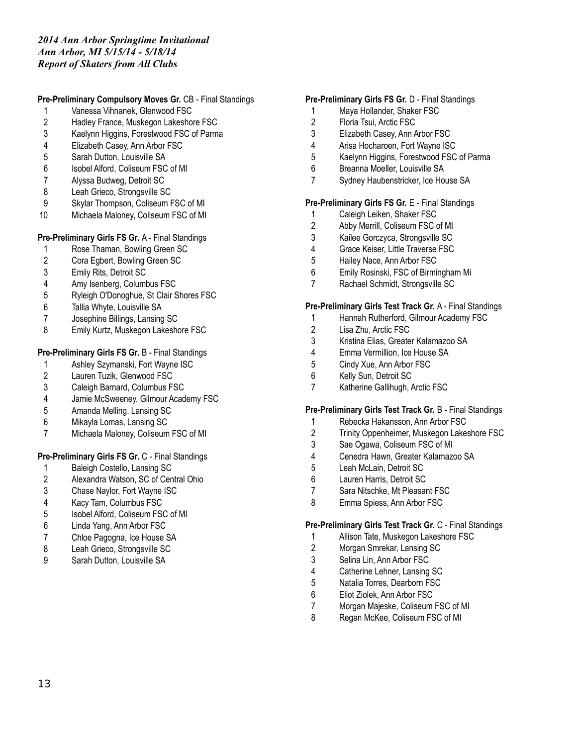### **Pre-Preliminary Compulsory Moves Gr.** CB - Final Standings

- Vanessa Vihnanek, Glenwood FSC
- Hadley France, Muskegon Lakeshore FSC
- Kaelynn Higgins, Forestwood FSC of Parma
- Elizabeth Casey, Ann Arbor FSC
- Sarah Dutton, Louisville SA
- Isobel Alford, Coliseum FSC of MI
- Alyssa Budweg, Detroit SC
- 8 Leah Grieco, Strongsville SC
- Skylar Thompson, Coliseum FSC of MI
- Michaela Maloney, Coliseum FSC of MI

### **Pre-Preliminary Girls FS Gr.** A - Final Standings

- Rose Thaman, Bowling Green SC
- Cora Egbert, Bowling Green SC
- Emily Rits, Detroit SC
- 
- 4 Amy Isenberg, Columbus FSC<br>5 Ryleigh O'Donoghue. St Clair S Ryleigh O'Donoghue, St Clair Shores FSC
- Tallia Whyte, Louisville SA
- Josephine Billings, Lansing SC
- Emily Kurtz, Muskegon Lakeshore FSC

# **Pre-Preliminary Girls FS Gr.** B - Final Standings

- Ashley Szymanski, Fort Wayne ISC
- Lauren Tuzik, Glenwood FSC
- Caleigh Barnard, Columbus FSC
- Jamie McSweeney, Gilmour Academy FSC
- Amanda Melling, Lansing SC
- Mikayla Lomas, Lansing SC
- Michaela Maloney, Coliseum FSC of MI

## **Pre-Preliminary Girls FS Gr.** C - Final Standings

- Baleigh Costello, Lansing SC
- Alexandra Watson, SC of Central Ohio
- Chase Naylor, Fort Wayne ISC
- Kacy Tam, Columbus FSC
- Isobel Alford, Coliseum FSC of MI
- Linda Yang, Ann Arbor FSC
- Chloe Pagogna, Ice House SA
- Leah Grieco, Strongsville SC
- Sarah Dutton, Louisville SA

### **Pre-Preliminary Girls FS Gr.** D - Final Standings

- Maya Hollander, Shaker FSC
- Floria Tsui, Arctic FSC
- Elizabeth Casey, Ann Arbor FSC
- Arisa Hocharoen, Fort Wayne ISC
- Kaelynn Higgins, Forestwood FSC of Parma
- Breanna Moeller, Louisville SA
- Sydney Haubenstricker, Ice House SA

#### **Pre-Preliminary Girls FS Gr.** E - Final Standings

- Caleigh Leiken, Shaker FSC
- Abby Merrill, Coliseum FSC of MI
- Kailee Gorczyca, Strongsville SC
- Grace Keiser, Little Traverse FSC
- Hailey Nace, Ann Arbor FSC
- Emily Rosinski, FSC of Birmingham Mi
- Rachael Schmidt, Strongsville SC

### **Pre-Preliminary Girls Test Track Gr.** A - Final Standings

- Hannah Rutherford, Gilmour Academy FSC
- Lisa Zhu, Arctic FSC
- Kristina Elias, Greater Kalamazoo SA
- Emma Vermillion, Ice House SA
- Cindy Xue, Ann Arbor FSC
- Kelly Sun, Detroit SC
- Katherine Gallihugh, Arctic FSC

#### **Pre-Preliminary Girls Test Track Gr.** B - Final Standings

- Rebecka Hakansson, Ann Arbor FSC
- Trinity Oppenheimer, Muskegon Lakeshore FSC
- Sae Ogawa, Coliseum FSC of MI
- Cenedra Hawn, Greater Kalamazoo SA
- Leah McLain, Detroit SC
- Lauren Harris, Detroit SC
- Sara Nitschke, Mt Pleasant FSC
- Emma Spiess, Ann Arbor FSC

#### **Pre-Preliminary Girls Test Track Gr.** C - Final Standings

- Allison Tate, Muskegon Lakeshore FSC
- Morgan Smrekar, Lansing SC
- Selina Lin, Ann Arbor FSC
- Catherine Lehner, Lansing SC
- Natalia Torres, Dearborn FSC
- Eliot Ziolek, Ann Arbor FSC
- Morgan Majeske, Coliseum FSC of MI
- Regan McKee, Coliseum FSC of MI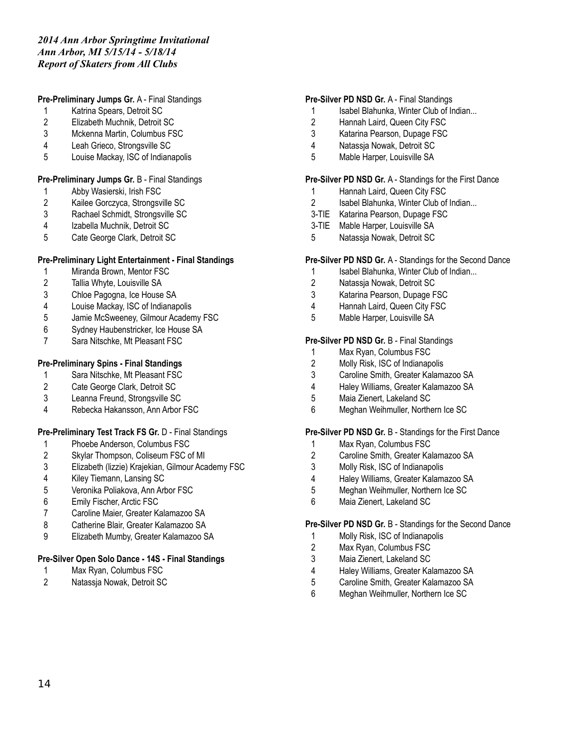### **Pre-Preliminary Jumps Gr.** A - Final Standings

- Katrina Spears, Detroit SC
- Elizabeth Muchnik, Detroit SC
- Mckenna Martin, Columbus FSC
- Leah Grieco, Strongsville SC
- Louise Mackay, ISC of Indianapolis

#### **Pre-Preliminary Jumps Gr.** B - Final Standings

- Abby Wasierski, Irish FSC
- Kailee Gorczyca, Strongsville SC
- Rachael Schmidt, Strongsville SC
- Izabella Muchnik, Detroit SC
- Cate George Clark, Detroit SC

#### **Pre-Preliminary Light Entertainment - Final Standings**

- Miranda Brown, Mentor FSC
- Tallia Whyte, Louisville SA
- Chloe Pagogna, Ice House SA
- Louise Mackay, ISC of Indianapolis
- Jamie McSweeney, Gilmour Academy FSC
- Sydney Haubenstricker, Ice House SA
- Sara Nitschke, Mt Pleasant FSC

#### **Pre-Preliminary Spins - Final Standings**

- Sara Nitschke, Mt Pleasant FSC
- Cate George Clark, Detroit SC
- Leanna Freund, Strongsville SC
- Rebecka Hakansson, Ann Arbor FSC

### **Pre-Preliminary Test Track FS Gr.** D - Final Standings

- Phoebe Anderson, Columbus FSC
- Skylar Thompson, Coliseum FSC of MI
- Elizabeth (lizzie) Krajekian, Gilmour Academy FSC
- Kiley Tiemann, Lansing SC
- Veronika Poliakova, Ann Arbor FSC
- Emily Fischer, Arctic FSC
- Caroline Maier, Greater Kalamazoo SA
- Catherine Blair, Greater Kalamazoo SA
- Elizabeth Mumby, Greater Kalamazoo SA

#### **Pre-Silver Open Solo Dance - 14S - Final Standings**

- Max Ryan, Columbus FSC
- Natassja Nowak, Detroit SC

#### **Pre-Silver PD NSD Gr.** A - Final Standings

- 1 Isabel Blahunka, Winter Club of Indian...
- Hannah Laird, Queen City FSC
- Katarina Pearson, Dupage FSC
- Natassja Nowak, Detroit SC
- Mable Harper, Louisville SA

#### **Pre-Silver PD NSD Gr.** A - Standings for the First Dance

- 1 Hannah Laird, Queen City FSC
- Isabel Blahunka, Winter Club of Indian...
- 3-TIE Katarina Pearson, Dupage FSC
- 3-TIE Mable Harper, Louisville SA
- Natassja Nowak, Detroit SC

#### **Pre-Silver PD NSD Gr.** A - Standings for the Second Dance

- 1 Isabel Blahunka, Winter Club of Indian...
- Natassja Nowak, Detroit SC
- Katarina Pearson, Dupage FSC
- Hannah Laird, Queen City FSC
- Mable Harper, Louisville SA

#### **Pre-Silver PD NSD Gr.** B - Final Standings

- Max Ryan, Columbus FSC
- Molly Risk, ISC of Indianapolis
- Caroline Smith, Greater Kalamazoo SA
- Haley Williams, Greater Kalamazoo SA
- Maia Zienert, Lakeland SC
- Meghan Weihmuller, Northern Ice SC

#### **Pre-Silver PD NSD Gr.** B - Standings for the First Dance

- Max Ryan, Columbus FSC
- Caroline Smith, Greater Kalamazoo SA
- Molly Risk, ISC of Indianapolis
- Haley Williams, Greater Kalamazoo SA
- Meghan Weihmuller, Northern Ice SC
- Maia Zienert, Lakeland SC

#### **Pre-Silver PD NSD Gr.** B - Standings for the Second Dance

- Molly Risk, ISC of Indianapolis
- Max Ryan, Columbus FSC
- Maia Zienert, Lakeland SC
- Haley Williams, Greater Kalamazoo SA
- Caroline Smith, Greater Kalamazoo SA
- Meghan Weihmuller, Northern Ice SC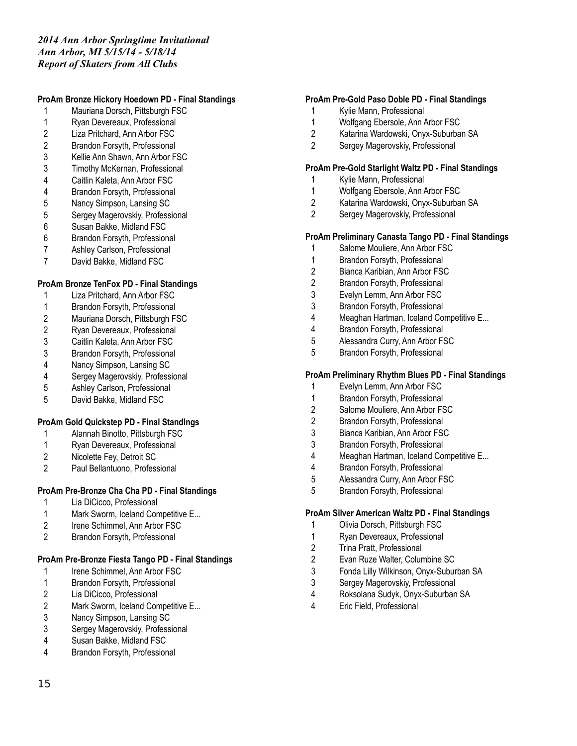# **ProAm Bronze Hickory Hoedown PD - Final Standings**

- Mauriana Dorsch, Pittsburgh FSC
- Ryan Devereaux, Professional
- Liza Pritchard, Ann Arbor FSC
- Brandon Forsyth, Professional
- Kellie Ann Shawn, Ann Arbor FSC
- Timothy McKernan, Professional
- Caitlin Kaleta, Ann Arbor FSC
- Brandon Forsyth, Professional
- Nancy Simpson, Lansing SC
- Sergey Magerovskiy, Professional
- Susan Bakke, Midland FSC
- Brandon Forsyth, Professional
- Ashley Carlson, Professional
- David Bakke, Midland FSC

### **ProAm Bronze TenFox PD - Final Standings**

- Liza Pritchard, Ann Arbor FSC
- Brandon Forsyth, Professional
- Mauriana Dorsch, Pittsburgh FSC
- Ryan Devereaux, Professional
- Caitlin Kaleta, Ann Arbor FSC
- Brandon Forsyth, Professional
- Nancy Simpson, Lansing SC
- Sergey Magerovskiy, Professional
- Ashley Carlson, Professional
- David Bakke, Midland FSC

## **ProAm Gold Quickstep PD - Final Standings**

- Alannah Binotto, Pittsburgh FSC
- 1 Ryan Devereaux, Professional<br>2 Nicolette Fev. Detroit SC
- Nicolette Fey, Detroit SC
- Paul Bellantuono, Professional

## **ProAm Pre-Bronze Cha Cha PD - Final Standings**

- Lia DiCicco, Professional
- Mark Sworm, Iceland Competitive E...
- Irene Schimmel, Ann Arbor FSC
- Brandon Forsyth, Professional

## **ProAm Pre-Bronze Fiesta Tango PD - Final Standings**

- 1 Irene Schimmel, Ann Arbor FSC
- Brandon Forsyth, Professional
- Lia DiCicco, Professional
- 2 Mark Sworm, Iceland Competitive E...
- 3 Nancy Simpson, Lansing SC<br>3 Sergey Magerovskiv, Professi
- Sergey Magerovskiy, Professional
- Susan Bakke, Midland FSC
- Brandon Forsyth, Professional

### **ProAm Pre-Gold Paso Doble PD - Final Standings**

- Kylie Mann, Professional
- Wolfgang Ebersole, Ann Arbor FSC
- Katarina Wardowski, Onyx-Suburban SA
- Sergey Magerovskiy, Professional

#### **ProAm Pre-Gold Starlight Waltz PD - Final Standings**

- Kylie Mann, Professional
- Wolfgang Ebersole, Ann Arbor FSC
- Katarina Wardowski, Onyx-Suburban SA
- Sergey Magerovskiy, Professional

### **ProAm Preliminary Canasta Tango PD - Final Standings**

- Salome Mouliere, Ann Arbor FSC
- Brandon Forsyth, Professional
- Bianca Karibian, Ann Arbor FSC
- Brandon Forsyth, Professional
- Evelyn Lemm, Ann Arbor FSC
- Brandon Forsyth, Professional
- Meaghan Hartman, Iceland Competitive E...
- Brandon Forsyth, Professional
- Alessandra Curry, Ann Arbor FSC
- Brandon Forsyth, Professional

#### **ProAm Preliminary Rhythm Blues PD - Final Standings**

- Evelyn Lemm, Ann Arbor FSC
- Brandon Forsyth, Professional
- Salome Mouliere, Ann Arbor FSC
- Brandon Forsyth, Professional
- Bianca Karibian, Ann Arbor FSC
- Brandon Forsyth, Professional
- Meaghan Hartman, Iceland Competitive E...
- Brandon Forsyth, Professional
- Alessandra Curry, Ann Arbor FSC
- Brandon Forsyth, Professional

#### **ProAm Silver American Waltz PD - Final Standings**

- Olivia Dorsch, Pittsburgh FSC
- Ryan Devereaux, Professional
- Trina Pratt, Professional
- Evan Ruze Walter, Columbine SC
- Fonda Lilly Wilkinson, Onyx-Suburban SA
- Sergey Magerovskiy, Professional
- Roksolana Sudyk, Onyx-Suburban SA
- Eric Field, Professional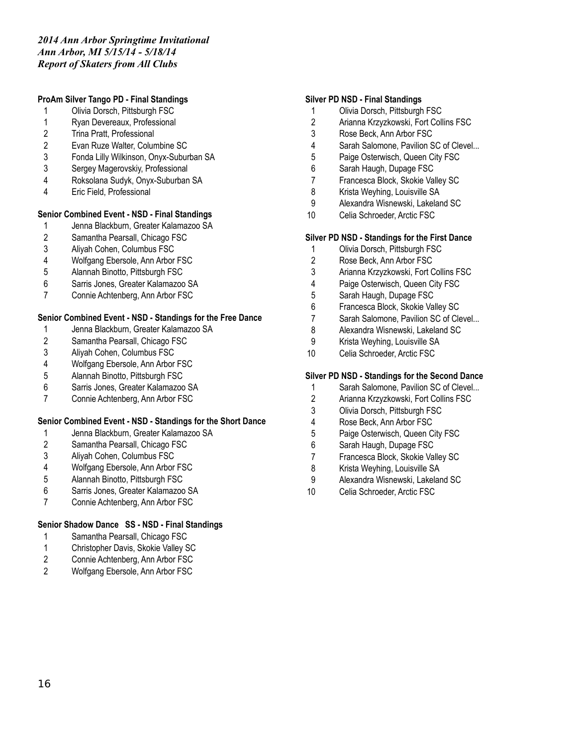### **ProAm Silver Tango PD - Final Standings**

- Olivia Dorsch, Pittsburgh FSC
- Ryan Devereaux, Professional
- Trina Pratt, Professional
- Evan Ruze Walter, Columbine SC
- Fonda Lilly Wilkinson, Onyx-Suburban SA
- Sergey Magerovskiy, Professional
- Roksolana Sudyk, Onyx-Suburban SA
- Eric Field, Professional

### **Senior Combined Event - NSD - Final Standings**

- Jenna Blackburn, Greater Kalamazoo SA
- 2 Samantha Pearsall, Chicago FSC<br>3 Alivah Cohen. Columbus FSC
- Aliyah Cohen, Columbus FSC
- Wolfgang Ebersole, Ann Arbor FSC
- Alannah Binotto, Pittsburgh FSC
- Sarris Jones, Greater Kalamazoo SA
- Connie Achtenberg, Ann Arbor FSC

### **Senior Combined Event - NSD - Standings for the Free Dance**

- Jenna Blackburn, Greater Kalamazoo SA
- Samantha Pearsall, Chicago FSC
- Aliyah Cohen, Columbus FSC
- Wolfgang Ebersole, Ann Arbor FSC
- Alannah Binotto, Pittsburgh FSC
- Sarris Jones, Greater Kalamazoo SA
- Connie Achtenberg, Ann Arbor FSC

#### **Senior Combined Event - NSD - Standings for the Short Dance**

- Jenna Blackburn, Greater Kalamazoo SA
- Samantha Pearsall, Chicago FSC
- Aliyah Cohen, Columbus FSC
- Wolfgang Ebersole, Ann Arbor FSC
- Alannah Binotto, Pittsburgh FSC
- Sarris Jones, Greater Kalamazoo SA
- Connie Achtenberg, Ann Arbor FSC

## **Senior Shadow Dance SS - NSD - Final Standings**

- Samantha Pearsall, Chicago FSC
- Christopher Davis, Skokie Valley SC
- Connie Achtenberg, Ann Arbor FSC
- Wolfgang Ebersole, Ann Arbor FSC

#### **Silver PD NSD - Final Standings**

- Olivia Dorsch, Pittsburgh FSC
- Arianna Krzyzkowski, Fort Collins FSC
- Rose Beck, Ann Arbor FSC
- Sarah Salomone, Pavilion SC of Clevel...
- Paige Osterwisch, Queen City FSC
- Sarah Haugh, Dupage FSC
- Francesca Block, Skokie Valley SC
- Krista Weyhing, Louisville SA
- Alexandra Wisnewski, Lakeland SC
- Celia Schroeder, Arctic FSC

#### **Silver PD NSD - Standings for the First Dance**

- Olivia Dorsch, Pittsburgh FSC
- Rose Beck, Ann Arbor FSC
- Arianna Krzyzkowski, Fort Collins FSC
- Paige Osterwisch, Queen City FSC
- Sarah Haugh, Dupage FSC
- Francesca Block, Skokie Valley SC
- Sarah Salomone, Pavilion SC of Clevel...
- Alexandra Wisnewski, Lakeland SC
- Krista Weyhing, Louisville SA
- Celia Schroeder, Arctic FSC

#### **Silver PD NSD - Standings for the Second Dance**

- Sarah Salomone, Pavilion SC of Clevel...
- Arianna Krzyzkowski, Fort Collins FSC
- Olivia Dorsch, Pittsburgh FSC
- Rose Beck, Ann Arbor FSC
- Paige Osterwisch, Queen City FSC
- Sarah Haugh, Dupage FSC
- Francesca Block, Skokie Valley SC
- Krista Weyhing, Louisville SA
- Alexandra Wisnewski, Lakeland SC
- Celia Schroeder, Arctic FSC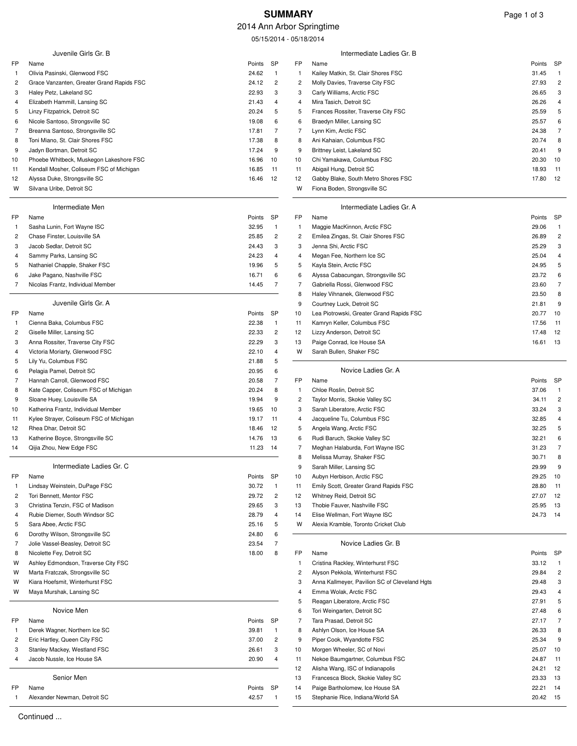# **SUMMARY** Page 1 of 3

### 2014 Ann Arbor Springtime

05/15/2014 - 05/18/2014

|                     | Juvenile Girls Gr. B                                          |                 | SP                  | FP             | Intermediate Ladies Gr. B                                 |                 | SP             |
|---------------------|---------------------------------------------------------------|-----------------|---------------------|----------------|-----------------------------------------------------------|-----------------|----------------|
| FP<br>-1            | Name<br>Olivia Pasinski, Glenwood FSC                         | Points<br>24.62 | $\overline{1}$      | $\mathbf{1}$   | Name<br>Kailey Matkin, St. Clair Shores FSC               | Points<br>31.45 | $\overline{1}$ |
| 2                   | Grace Vanzanten, Greater Grand Rapids FSC                     | 24.12           | $\overline{c}$      | 2              | Molly Davies, Traverse City FSC                           | 27.93           | $\overline{c}$ |
| 3                   | Haley Petz, Lakeland SC                                       | 22.93           | 3                   | 3              | Carly Williams, Arctic FSC                                | 26.65           | 3              |
| 4                   | Elizabeth Hammill, Lansing SC                                 | 21.43           | 4                   | 4              | Mira Tasich, Detroit SC                                   | 26.26           | 4              |
| 5                   | Linzy Fitzpatrick, Detroit SC                                 | 20.24           | 5                   | 5              | Frances Rossiter, Traverse City FSC                       | 25.59           | 5              |
| 6                   | Nicole Santoso, Strongsville SC                               | 19.08           | 6                   | 6              | Braedyn Miller, Lansing SC                                | 25.57           | 6              |
| 7                   | Breanna Santoso, Strongsville SC                              | 17.81           | $\overline{7}$      | 7              | Lynn Kim, Arctic FSC                                      | 24.38           | 7              |
| 8                   | Toni Miano, St. Clair Shores FSC                              | 17.38           | 8                   | 8              | Ani Kahaian, Columbus FSC                                 | 20.74           | 8              |
| 9                   | Jadyn Bortman, Detroit SC                                     | 17.24           | 9                   | 9              | Brittney Leist, Lakeland SC                               | 20.41           | 9              |
| 10                  | Phoebe Whitbeck, Muskegon Lakeshore FSC                       | 16.96           | 10                  | 10             | Chi Yamakawa, Columbus FSC                                | 20.30           | 10             |
| 11                  | Kendall Mosher, Coliseum FSC of Michigan                      | 16.85           | 11                  | 11             | Abigail Hung, Detroit SC                                  | 18.93           | 11             |
| 12                  | Alyssa Duke, Strongsville SC                                  | 16.46           | 12                  | 12             | Gabby Blake, South Metro Shores FSC                       | 17.80           | 12             |
| W                   | Silvana Uribe, Detroit SC                                     |                 |                     | w              | Fiona Boden, Strongsville SC                              |                 |                |
|                     | Intermediate Men                                              |                 |                     |                | Intermediate Ladies Gr. A                                 |                 |                |
| FP                  | Name                                                          | Points          | SP                  | FP             | Name                                                      | Points          | SP             |
| -1                  | Sasha Lunin, Fort Wayne ISC                                   | 32.95           | $\overline{1}$      | $\mathbf{1}$   | Maggie MacKinnon, Arctic FSC                              | 29.06           | $\overline{1}$ |
| 2                   | Chase Finster, Louisville SA                                  | 25.85           | $\overline{c}$      | 2              | Emilea Zingas, St. Clair Shores FSC                       | 26.89           | $\overline{c}$ |
| 3                   | Jacob Sedlar, Detroit SC                                      | 24.43           | 3                   | 3              | Jenna Shi, Arctic FSC                                     | 25.29           | 3              |
| 4                   | Sammy Parks, Lansing SC                                       | 24.23           | 4                   | 4              | Megan Fee, Northern Ice SC                                | 25.04           | 4              |
| 5                   | Nathaniel Chapple, Shaker FSC                                 | 19.96           | 5                   | 5              | Kayla Stein, Arctic FSC                                   | 24.95           | 5              |
| 6                   | Jake Pagano, Nashville FSC                                    | 16.71           | 6                   | 6              | Alyssa Cabacungan, Strongsville SC                        | 23.72           | 6              |
| 7                   | Nicolas Frantz, Individual Member                             | 14.45           | 7                   | 7              | Gabriella Rossi, Glenwood FSC                             | 23.60           | $\overline{7}$ |
|                     |                                                               |                 |                     | 8              | Haley Vihnanek, Glenwood FSC                              | 23.50           | 8              |
|                     | Juvenile Girls Gr. A                                          |                 |                     | 9              | Courtney Luck, Detroit SC                                 | 21.81           | 9              |
| FP                  | Name                                                          | Points          | SP                  | 10             | Lea Piotrowski, Greater Grand Rapids FSC                  | 20.77           | 10             |
| -1                  | Cienna Baka, Columbus FSC<br>Giselle Miller, Lansing SC       | 22.38<br>22.33  | $\overline{1}$      | 11             | Kamryn Keller, Columbus FSC<br>Lizzy Anderson, Detroit SC | 17.56<br>17.48  | 11<br>-12      |
| 2<br>3              | Anna Rossiter, Traverse City FSC                              | 22.29           | $\overline{c}$<br>3 | 12<br>13       | Paige Conrad, Ice House SA                                | 16.61           | - 13           |
| 4                   | Victoria Moriarty, Glenwood FSC                               | 22.10           | $\overline{4}$      | w              | Sarah Bullen, Shaker FSC                                  |                 |                |
| 5                   | Lily Yu, Columbus FSC                                         | 21.88           | 5                   |                |                                                           |                 |                |
| 6                   | Pelagia Pamel, Detroit SC                                     | 20.95           | 6                   |                | Novice Ladies Gr. A                                       |                 |                |
| 7                   | Hannah Carroll, Glenwood FSC                                  | 20.58           | $\overline{7}$      | FP             | Name                                                      | Points          | <b>SP</b>      |
| 8                   | Kate Capper, Coliseum FSC of Michigan                         | 20.24           | 8                   | $\mathbf{1}$   | Chloe Roslin, Detroit SC                                  | 37.06           | $\overline{1}$ |
| 9                   | Sloane Huey, Louisville SA                                    | 19.94           | 9                   | 2              | Taylor Morris, Skokie Valley SC                           | 34.11           | $\overline{c}$ |
| 10                  | Katherina Frantz, Individual Member                           | 19.65           | 10                  | 3              | Sarah Liberatore, Arctic FSC                              | 33.24           | 3              |
| 11                  | Kylee Strayer, Coliseum FSC of Michigan                       | 19.17           | 11                  | 4              | Jacqueline Tu, Columbus FSC                               | 32.85           | 4              |
| 12                  | Rhea Dhar, Detroit SC                                         | 18.46           | 12                  | 5              | Angela Wang, Arctic FSC                                   | 32.25           | 5              |
| 13                  | Katherine Boyce, Strongsville SC                              | 14.76           | 13                  | 6              | Rudi Baruch, Skokie Valley SC                             | 32.21           | 6              |
| 14                  | Qijia Zhou, New Edge FSC                                      | 11.23           | 14                  | 7              | Meghan Halaburda, Fort Wayne ISC                          | 31.23           | $\overline{7}$ |
|                     |                                                               |                 |                     | 8              | Melissa Murray, Shaker FSC                                | 30.71           | 8              |
|                     | Intermediate Ladies Gr. C                                     |                 |                     | 9              | Sarah Miller, Lansing SC                                  | 29.99           | 9              |
| FP                  | Name                                                          | Points          | SP                  | 10             | Aubyn Herbison, Arctic FSC                                | 29.25           | 10             |
| -1                  | Lindsay Weinstein, DuPage FSC                                 | 30.72           | $\overline{1}$      | 11             | Emily Scott, Greater Grand Rapids FSC                     | 28.80           | 11             |
| 2                   | Tori Bennett, Mentor FSC                                      | 29.72           | $\overline{c}$      | 12             | Whitney Reid, Detroit SC                                  | 27.07           | - 12           |
| 3                   | Christina Tenzin, FSC of Madison                              | 29.65           | 3                   | 13             | Thobie Fauver, Nashville FSC                              | 25.95           | 13             |
| 4                   | Rubie Diemer, South Windsor SC                                | 28.79           | $\overline{4}$      | 14             | Elise Wellman, Fort Wayne ISC                             | 24.73           | - 14           |
| 5                   | Sara Abee, Arctic FSC                                         | 25.16           | 5                   | w              | Alexia Kramble, Toronto Cricket Club                      |                 |                |
| 6<br>$\overline{7}$ | Dorothy Wilson, Strongsville SC                               | 24.80           | 6<br>$\overline{7}$ |                | Novice Ladies Gr. B                                       |                 |                |
| 8                   | Jolie Vassel-Beasley, Detroit SC<br>Nicolette Fey, Detroit SC | 23.54<br>18.00  | 8                   | FP             | Name                                                      | Points SP       |                |
| W                   | Ashley Edmondson, Traverse City FSC                           |                 |                     | -1             | Cristina Rackley, Winterhurst FSC                         | 33.12           | $\overline{1}$ |
| W                   | Marta Fratczak, Strongsville SC                               |                 |                     | 2              | Alyson Pekkola, Winterhurst FSC                           | 29.84           | $\overline{c}$ |
| W                   | Kiara Hoefsmit, Winterhurst FSC                               |                 |                     | 3              | Anna Kallmeyer, Pavilion SC of Cleveland Hgts             | 29.48           | 3              |
| W                   | Maya Murshak, Lansing SC                                      |                 |                     | 4              | Emma Wolak, Arctic FSC                                    | 29.43           | 4              |
|                     |                                                               |                 |                     | 5              | Reagan Liberatore, Arctic FSC                             | 27.91           | 5              |
|                     | Novice Men                                                    |                 |                     | 6              | Tori Weingarten, Detroit SC                               | 27.48           | 6              |
| FP                  | Name                                                          | Points          | SP                  | $\overline{7}$ | Tara Prasad, Detroit SC                                   | 27.17           | $\overline{7}$ |
| -1                  | Derek Wagner, Northern Ice SC                                 | 39.81           | $\overline{1}$      | 8              | Ashlyn Olson, Ice House SA                                | 26.33           | 8              |
| 2                   | Eric Hartley, Queen City FSC                                  | 37.00           | $\overline{c}$      | 9              | Piper Cook, Wyandotte FSC                                 | 25.34           | 9              |
| 3                   | Stanley Mackey, Westland FSC                                  | 26.61           | 3                   | 10             | Morgen Wheeler, SC of Novi                                | 25.07           | 10             |
| 4                   | Jacob Nussle, Ice House SA                                    | 20.90           | 4                   | 11             | Nekoe Baumgartner, Columbus FSC                           | 24.87           | 11             |
|                     |                                                               |                 |                     | 12             | Alisha Wang, ISC of Indianapolis                          | 24.21           | 12             |
|                     | Senior Men                                                    |                 |                     | 13             | Francesca Block, Skokie Valley SC                         | 23.33           | 13             |
| FP                  | Name                                                          | Points          | <b>SP</b>           | 14             | Paige Bartholomew, Ice House SA                           | 22.21           | 14             |
| -1                  | Alexander Newman, Detroit SC                                  | 42.57           | $\overline{1}$      | 15             | Stephanie Rice, Indiana/World SA                          | 20.42 15        |                |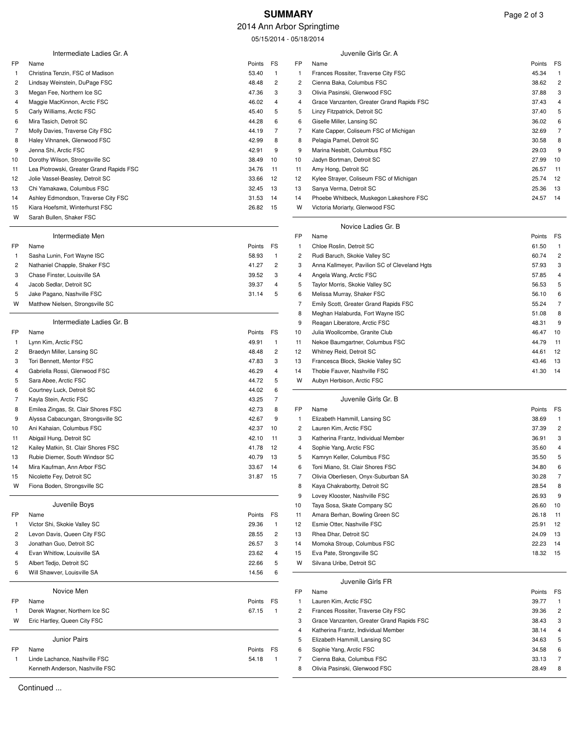# **SUMMARY** Page 2 of 3

# 2014 Ann Arbor Springtime

05/15/2014 - 05/18/2014

|                   | Intermediate Ladies Gr. A                                  |                |                    |          | Juvenile Girls Gr. A                                               |                |                |
|-------------------|------------------------------------------------------------|----------------|--------------------|----------|--------------------------------------------------------------------|----------------|----------------|
| FP.               | Name                                                       | Points         | FS                 | FP       | Name                                                               | Points         | FS             |
| -1                | Christina Tenzin, FSC of Madison                           | 53.40          | $\mathbf{1}$       | 1        | Frances Rossiter, Traverse City FSC                                | 45.34          | $\overline{1}$ |
| 2                 | Lindsay Weinstein, DuPage FSC                              | 48.48          | $\overline{c}$     | 2        | Cienna Baka, Columbus FSC                                          | 38.62          | $\overline{c}$ |
| 3                 | Megan Fee, Northern Ice SC                                 | 47.36          | 3                  | 3        | Olivia Pasinski, Glenwood FSC                                      | 37.88          | 3              |
| 4                 | Maggie MacKinnon, Arctic FSC                               | 46.02          | $\overline{4}$     | 4        | Grace Vanzanten, Greater Grand Rapids FSC                          | 37.43          | 4              |
| 5                 | Carly Williams, Arctic FSC                                 | 45.40          | 5                  | 5        | Linzy Fitzpatrick, Detroit SC                                      | 37.40          | 5              |
| 6                 | Mira Tasich, Detroit SC<br>Molly Davies, Traverse City FSC | 44.28          | 6<br>7             | 6<br>7   | Giselle Miller, Lansing SC                                         | 36.02<br>32.69 | 6<br>7         |
| 7<br>8            | Haley Vihnanek, Glenwood FSC                               | 44.19<br>42.99 | 8                  | 8        | Kate Capper, Coliseum FSC of Michigan<br>Pelagia Pamel, Detroit SC | 30.58          | 8              |
| 9                 | Jenna Shi, Arctic FSC                                      | 42.91          | 9                  | 9        | Marina Nesbitt, Columbus FSC                                       | 29.03          | 9              |
| 10                | Dorothy Wilson, Strongsville SC                            | 38.49          | 10                 | 10       | Jadyn Bortman, Detroit SC                                          | 27.99          | 10             |
| 11                | Lea Piotrowski, Greater Grand Rapids FSC                   | 34.76          | 11                 | 11       | Amy Hong, Detroit SC                                               | 26.57          | 11             |
| 12                | Jolie Vassel-Beasley, Detroit SC                           | 33.66          | 12                 | 12       | Kylee Strayer, Coliseum FSC of Michigan                            | 25.74          | 12             |
| 13                | Chi Yamakawa, Columbus FSC                                 | 32.45          | 13                 | 13       | Sanya Verma, Detroit SC                                            | 25.36          | 13             |
| 14                | Ashley Edmondson, Traverse City FSC                        | 31.53          | -14                | 14       | Phoebe Whitbeck, Muskegon Lakeshore FSC                            | 24.57          | 14             |
| 15                | Kiara Hoefsmit, Winterhurst FSC                            | 26.82          | - 15               | W        | Victoria Moriarty, Glenwood FSC                                    |                |                |
| W                 | Sarah Bullen, Shaker FSC                                   |                |                    |          | Novice Ladies Gr. B                                                |                |                |
|                   | Intermediate Men                                           |                |                    | FP       | Name                                                               | Points         | FS             |
| FP.               | Name                                                       | Points         | FS                 | 1        | Chloe Roslin, Detroit SC                                           | 61.50          | $\overline{1}$ |
| $\mathbf{1}$      | Sasha Lunin, Fort Wayne ISC                                | 58.93          | $\mathbf{1}$       | 2        | Rudi Baruch, Skokie Valley SC                                      | 60.74          | $\overline{c}$ |
| 2                 | Nathaniel Chapple, Shaker FSC                              | 41.27          | $\overline{2}$     | 3        | Anna Kallmeyer, Pavilion SC of Cleveland Hgts                      | 57.93          | 3              |
| 3                 | Chase Finster, Louisville SA                               | 39.52          | 3                  | 4        | Angela Wang, Arctic FSC                                            | 57.85          | 4              |
| 4                 | Jacob Sedlar, Detroit SC                                   | 39.37          | 4                  | 5        | Taylor Morris, Skokie Valley SC                                    | 56.53          | 5              |
| 5                 | Jake Pagano, Nashville FSC                                 | 31.14          | 5                  | 6        | Melissa Murray, Shaker FSC                                         | 56.10          | 6              |
| W                 | Matthew Nielsen, Strongsville SC                           |                |                    | 7        | Emily Scott, Greater Grand Rapids FSC                              | 55.24          | $\overline{7}$ |
|                   |                                                            |                |                    | 8        | Meghan Halaburda, Fort Wayne ISC                                   | 51.08          | 8              |
|                   | Intermediate Ladies Gr. B                                  |                |                    | 9        | Reagan Liberatore, Arctic FSC                                      | 48.31          | 9              |
| FP                | Name                                                       | Points         | FS<br>$\mathbf{1}$ | 10       | Julia Woollcombe, Granite Club                                     | 46.47<br>44.79 | 10             |
| $\mathbf{1}$<br>2 | Lynn Kim, Arctic FSC<br>Braedyn Miller, Lansing SC         | 49.91<br>48.48 | $\overline{c}$     | 11       | Nekoe Baumgartner, Columbus FSC<br>Whitney Reid, Detroit SC        | 44.61          | 11<br>12       |
| 3                 | Tori Bennett, Mentor FSC                                   | 47.83          | 3                  | 12<br>13 | Francesca Block, Skokie Valley SC                                  | 43.46          | 13             |
| 4                 | Gabriella Rossi, Glenwood FSC                              | 46.29          | $\overline{4}$     | 14       | Thobie Fauver, Nashville FSC                                       | 41.30          | 14             |
| 5                 | Sara Abee, Arctic FSC                                      | 44.72          | 5                  | W        | Aubyn Herbison, Arctic FSC                                         |                |                |
| 6                 | Courtney Luck, Detroit SC                                  | 44.02          | 6                  |          |                                                                    |                |                |
| 7                 | Kayla Stein, Arctic FSC                                    | 43.25          | 7                  |          | Juvenile Girls Gr. B                                               |                |                |
| 8                 | Emilea Zingas, St. Clair Shores FSC                        | 42.73          | 8                  | FP       | Name                                                               | Points         | FS             |
| 9                 | Alyssa Cabacungan, Strongsville SC                         | 42.67          | 9                  | 1        | Elizabeth Hammill, Lansing SC                                      | 38.69          | $\overline{1}$ |
| 10                | Ani Kahaian, Columbus FSC                                  | 42.37          | 10                 | 2        | Lauren Kim, Arctic FSC                                             | 37.39          | $\overline{c}$ |
| 11                | Abigail Hung, Detroit SC                                   | 42.10          | 11                 | 3        | Katherina Frantz, Individual Member                                | 36.91          | 3              |
| 12                | Kailey Matkin, St. Clair Shores FSC                        | 41.78          | -12                | 4        | Sophie Yang, Arctic FSC                                            | 35.60          | 4              |
| 13                | Rubie Diemer, South Windsor SC                             | 40.79          | - 13               | 5        | Kamryn Keller, Columbus FSC                                        | 35.50          | 5              |
| 14                | Mira Kaufman, Ann Arbor FSC                                | 33.67          | 14                 | 6        | Toni Miano, St. Clair Shores FSC                                   | 34.80          | 6              |
| 15                | Nicolette Fey, Detroit SC                                  | 31.87 15       |                    | 7        | Olivia Oberliesen, Onyx-Suburban SA                                | 30.28          | $\overline{7}$ |
| W                 | Fiona Boden, Strongsville SC                               |                |                    | 8<br>9   | Kaya Chakrabortty, Detroit SC                                      | 28.54          | 8              |
|                   | Juvenile Boys                                              |                |                    | 10       | Lovey Klooster, Nashville FSC<br>Taya Sosa, Skate Company SC       | 26.93<br>26.60 | 9<br>10        |
| FP                | Name                                                       | Points         | FS                 | 11       | Amara Berhan, Bowling Green SC                                     | 26.18          | 11             |
| $\mathbf{1}$      | Victor Shi, Skokie Valley SC                               | 29.36          | $\overline{1}$     | 12       | Esmie Otter, Nashville FSC                                         | 25.91          | 12             |
| 2                 | Levon Davis, Queen City FSC                                | 28.55          | $\overline{c}$     | 13       | Rhea Dhar, Detroit SC                                              | 24.09          | 13             |
| 3                 | Jonathan Guo, Detroit SC                                   | 26.57          | 3                  | 14       | Momoka Stroup, Columbus FSC                                        | 22.23          | 14             |
| 4                 | Evan Whitlow, Louisville SA                                | 23.62          | 4                  | 15       | Eva Pate, Strongsville SC                                          | 18.32 15       |                |
| 5                 | Albert Tedjo, Detroit SC                                   | 22.66          | 5                  | W        | Silvana Uribe, Detroit SC                                          |                |                |
| 6                 | Will Shawver, Louisville SA                                | 14.56          | 6                  |          |                                                                    |                |                |
|                   | Novice Men                                                 |                |                    | FP       | Juvenile Girls FR<br>Name                                          | Points         | FS             |
| FP                | Name                                                       | Points         | <b>FS</b>          | 1        | Lauren Kim, Arctic FSC                                             | 39.77          | $\overline{1}$ |
| -1                | Derek Wagner, Northern Ice SC                              | 67.15          | $\overline{1}$     | 2        | Frances Rossiter, Traverse City FSC                                | 39.36          | $\overline{c}$ |
| w                 | Eric Hartley, Queen City FSC                               |                |                    | 3        | Grace Vanzanten, Greater Grand Rapids FSC                          | 38.43          | 3              |
|                   |                                                            |                |                    | 4        | Katherina Frantz, Individual Member                                | 38.14          | 4              |
|                   | <b>Junior Pairs</b>                                        |                |                    | 5        | Elizabeth Hammill, Lansing SC                                      | 34.63          | 5              |
| FP                | Name                                                       | Points         | FS                 | 6        | Sophie Yang, Arctic FSC                                            | 34.58          | 6              |
| $\mathbf{1}$      | Linde Lachance, Nashville FSC                              | 54.18          | $\mathbf{1}$       | 7        | Cienna Baka, Columbus FSC                                          | 33.13          | $\overline{7}$ |
|                   | Kenneth Anderson, Nashville FSC                            |                |                    | 8        | Olivia Pasinski, Glenwood FSC                                      | 28.49          | 8              |

Continued ...